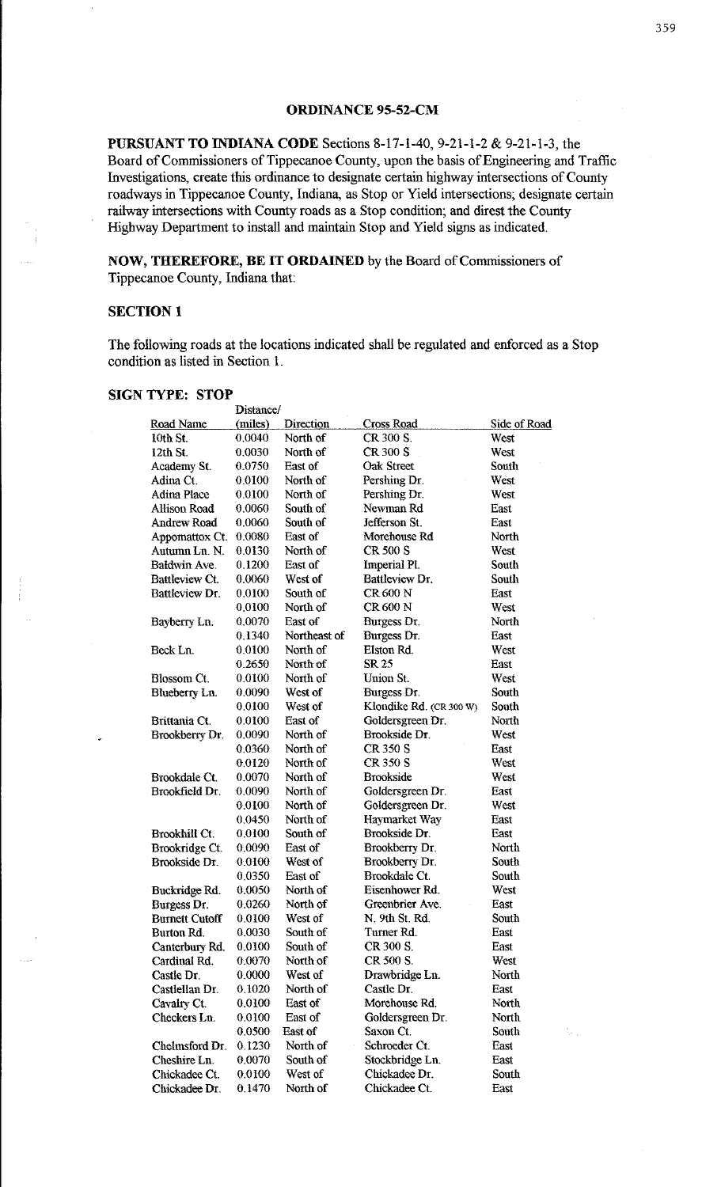## **ORDINANCE 95-52-CM**

**PURSUANT TO INDIANA CODE** Sections 8-17-1-40, 9-21-1-2 & 9-21-1-3, the Board of Commissioners of Tippecanoe County, upon the basis of Engineering and Traffic Investigations, create this ordinance to designate certain highway intersections of County roadways in Tippecanoe County, Indiana, as Stop or Yield intersections; designate certain railway intersections with County roads as a Stop condition; and direst the County Highway Department to install and maintain Stop and Yield signs as indicated.

**NOW, THEREFORE, BE IT ORDAINED** by the Board of Commissioners of Tippecanoe County, Indiana that:

## **SECTION I**

The following roads at the locations indicated shall be regulated and enforced as a Stop condition as listed in Section l.

#### **SIGN TYPE: STOP**

|                       | Distance/ |              |                         |              |
|-----------------------|-----------|--------------|-------------------------|--------------|
| Road Name             | (miles)   | Direction    | <b>Cross Road</b>       | Side of Road |
| 10th St.              | 0.0040    | North of     | CR 300 S.               | West         |
| 12th St.              | 0.0030    | North of     | CR 300 S                | West         |
| Academy St.           | 0.0750    | East of      | <b>Oak Street</b>       | South        |
| Adina Ct.             | 0.0100    | North of     | Pershing Dr.            | West         |
| <b>Adina Place</b>    | 0.0100    | North of     | Pershing Dr.            | West         |
| Allison Road          | 0.0060    | South of     | Newman Rd               | East         |
| <b>Andrew Road</b>    | 0.0060    | South of     | Jefferson St.           | East         |
| Appomattox Ct.        | 0.0080    | East of      | Morehouse Rd            | North        |
| Autumn Ln. N.         | 0.0130    | North of     | CR 500 S                | West         |
| Baldwin Ave.          | 0.1200    | East of      | Imperial Pl.            | South        |
| Battleview Ct.        | 0.0060    | West of      | Battleview Dr.          | South        |
| Battleview Dr.        | 0.0100    | South of     | CR 600 N                | East         |
|                       | 0.0100    | North of     | CR 600 N                | West         |
| Bayberry Ln.          | 0.0070    | East of      | Burgess Dr.             | North        |
|                       | 0.1340    | Northeast of | Burgess Dr.             | East         |
| Beck Ln.              | 0.0100    | North of     | Elston Rd.              | West         |
|                       | 0.2650    | North of     | SR 25                   | East         |
| Blossom Ct.           | 0.0100    | North of     | Union St.               | West         |
| Blueberry Ln.         | 0.0090    | West of      | Burgess Dr.             | South        |
|                       | 0.0100    | West of      | Klondike Rd. (CR 300 W) | South        |
| Brittania Ct.         | 0.0100    | East of      | Goldersgreen Dr.        | North        |
| Brookberry Dr.        | 0.0090    | North of     | Brookside Dr.           | West         |
|                       | 0.0360    | North of     | CR 350 S                | East         |
|                       | 0.0120    | North of     | CR 350 S                | West         |
| <b>Brookdale Ct.</b>  | 0.0070    | North of     | <b>Brookside</b>        | West         |
| Brookfield Dr.        | 0.0090    | North of     | Goldersgreen Dr.        | East         |
|                       | 0.0100    | North of     | Goldersgreen Dr.        | West         |
|                       | 0.0450    | North of     | Haymarket Way           | East         |
| Brookhill Ct.         | 0.0100    | South of     | Brookside Dr.           | East         |
| Brookridge Ct.        | 0.0090    | East of      | Brookberry Dr.          | North        |
| Brookside Dr.         | 0.0100    | West of      | Brookberry Dr.          | South        |
|                       | 0.0350    | East of      | Brookdale Ct.           | South        |
| Buckridge Rd.         | 0,0050    | North of     | Eisenhower Rd.          | West         |
| Burgess Dr.           | 0.0260    | North of     | Greenbrier Ave.         | East         |
| <b>Burnett Cutoff</b> | 0.0100    | West of      | N. 9th St. Rd.          | South        |
| Burton Rd.            | 0.0030    | South of     | Turner Rd               | East         |
| Canterbury Rd.        | 0.0100    | South of     | CR 300 S.               | East         |
| Cardinal Rd.          | 0.0070    | North of     | CR 500 S.               | West         |
| Castle Dr.            | 0,0000    | West of      | Drawbridge Ln.          | North        |
| Castlellan Dr.        | 0.1020    | North of     | Castle Dr.              | East         |
| Cavalry Ct.           | 0.0100    | East of      | Morehouse Rd.           | North        |
| Checkers Ln.          | 0.0100    | East of      | Goldersgreen Dr.        | North        |
|                       | 0.0500    | East of      | Saxon Ct.               | South        |
| Chelmsford Dr.        | 0 1 2 3 0 | North of     | Schroeder Ct.           | East         |
| Cheshire Ln.          | 0.0070    | South of     | Stockbridge Ln.         | East         |
| Chickadee Ct.         | 0.0100    | West of      | Chickadee Dr.           | South        |
| Chickadee Dr.         | 0.1470    | North of     | Chickadee Ct.           | East         |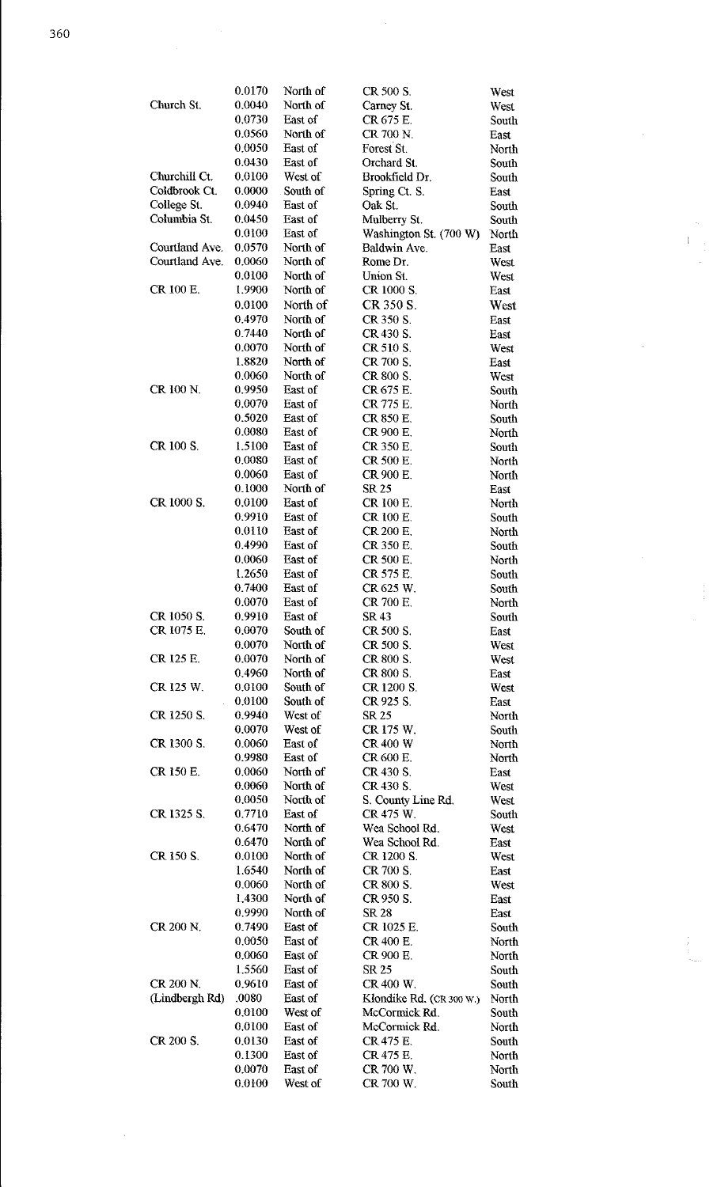|                | 0.0170 | North of | CR 500 S.                | West  |
|----------------|--------|----------|--------------------------|-------|
| Church St.     | 0.0040 | North of | Carney St.               | West  |
|                | 0.0730 | East of  | CR 675 E.                | South |
|                | 0.0560 | North of | CR 700 N                 | East  |
|                | 0.0050 | East of  | Forest St.               | North |
|                | 0.0430 | East of  | Orchard St.              | South |
| Churchill Ct.  | 0.0100 | West of  | Brookfield Dr.           | South |
| Coldbrook Ct.  | 0.0000 | South of | Spring Ct. S.            | East  |
| College St.    | 0.0940 | East of  | Oak St.                  | South |
| Columbia St.   | 0.0450 | East of  | Mulberry St.             | South |
|                | 0.0100 | East of  | Washington St. (700 W)   | North |
| Courtland Ave. | 0.0570 | North of | Baldwin Ave.             | East  |
| Courtland Ave. | 0.0060 | North of | Rome Dr.                 | West  |
|                | 0.0100 | North of | Union St.                | West  |
| CR 100 E.      | 1.9900 | North of | CR 1000 S.               | East  |
|                | 0.0100 | North of | CR 350 S.                | West  |
|                | 0.4970 | North of | CR 350 S.                | East  |
|                | 0.7440 | North of | CR 430 S.                | East  |
|                | 0.0070 | North of | CR 510 S.                | West  |
|                | 1.8820 | North of | CR 700 S.                | East  |
|                | 0.0060 | North of | CR 800 S.                | West  |
| CR 100 N.      | 0.9950 | East of  | CR 675 E.                | South |
|                | 0.0070 | East of  | CR 775 E.                | North |
|                | 0.5020 | East of  | CR 850 E.                | South |
|                | 0.0080 | East of  | CR 900 E.                | North |
| CR 100 S.      | 1.5100 | East of  | CR 350 E.                | South |
|                | 0.0080 | East of  | CR 500 E.                |       |
|                | 0.0060 | East of  | CR 900 E.                | North |
|                | 0.1000 | North of |                          | North |
|                |        |          | <b>SR 25</b>             | East  |
| CR 1000 S.     | 0.0100 | East of  | CR 100 E.                | North |
|                | 0.9910 | East of  | CR 100 E.                | South |
|                | 0.0110 | East of  | CR 200 E.                | North |
|                | 0.4990 | East of  | CR 350 E.                | South |
|                | 0.0060 | East of  | CR 500 E.                | North |
|                | 1.2650 | East of  | CR 575 E.                | South |
|                | 0.7400 | East of  | CR 625 W.                | South |
|                | 0.0070 | East of  | CR 700 E.                | North |
| CR 1050 S.     | 0.9910 | East of  | SR 43                    | South |
| CR 1075 E.     | 0.0070 | South of | CR 500 S.                | East  |
|                | 0,0070 | North of | CR 500 S.                | West  |
| CR 125 E.      | 0.0070 | North of | CR 800 S.                | West  |
|                | 0.4960 | North of | CR 800 S.                | East  |
| CR 125 W.      | 0.0100 | South of | CR 1200 S.               | West  |
|                | 0.0100 | South of | CR 925 S.                | East  |
| CR 1250 S.     | 0.9940 | West of  | SR 25                    | North |
|                | 0.0070 | West of  | CR 175 W.                | South |
| CR 1300 S.     | 0.0060 | East of  | <b>CR 400 W</b>          | North |
|                | 0.9980 | East of  | CR 600 E.                | North |
| CR 150 E.      | 0.0060 | North of | CR 430 S.                | East  |
|                | 0.0060 | North of | CR 430 S.                | West  |
|                | 0.0050 | North of | S. County Line Rd.       | West  |
| CR 1325 S.     | 0.7710 | East of  | CR 475 W.                | South |
|                | 0.6470 | North of | Wea School Rd.           | West  |
|                | 0.6470 | North of | Wea School Rd.           | East  |
| CR 150 S.      | 0.0100 | North of | CR 1200 S.               | West  |
|                | 1.6540 | North of | CR 700 S.                | East  |
|                | 0.0060 | North of | CR 800 S.                | West  |
|                | 1.4300 | North of | CR 950 S.                | East  |
|                | 0.9990 | North of | <b>SR 28</b>             | East  |
| CR 200 N.      | 0.7490 | East of  | CR 1025 E.               | South |
|                | 0.0050 | East of  | CR 400 E.                | North |
|                | 0.0060 | East of  | CR 900 E.                | North |
|                | 1.5560 | East of  | SR 25                    | South |
| CR 200 N.      | 0.9610 | East of  | CR 400 W.                | South |
| (Lindbergh Rd) | .0080  | East of  | Klondike Rd. (CR 300 W.) | North |
|                | 0.0100 | West of  | McCormick Rd.            | South |
|                | 0.0100 | East of  | McCormick Rd.            | North |
| CR 200 S.      | 0.0130 | East of  | CR 475 E.                | South |
|                | 0.1300 | East of  | CR 475 E.                | North |
|                | 0.0070 | East of  | CR 700 W.                | North |
|                | 0.0100 | West of  | CR 700 W.                | South |

 $\frac{1}{\sqrt{2}}$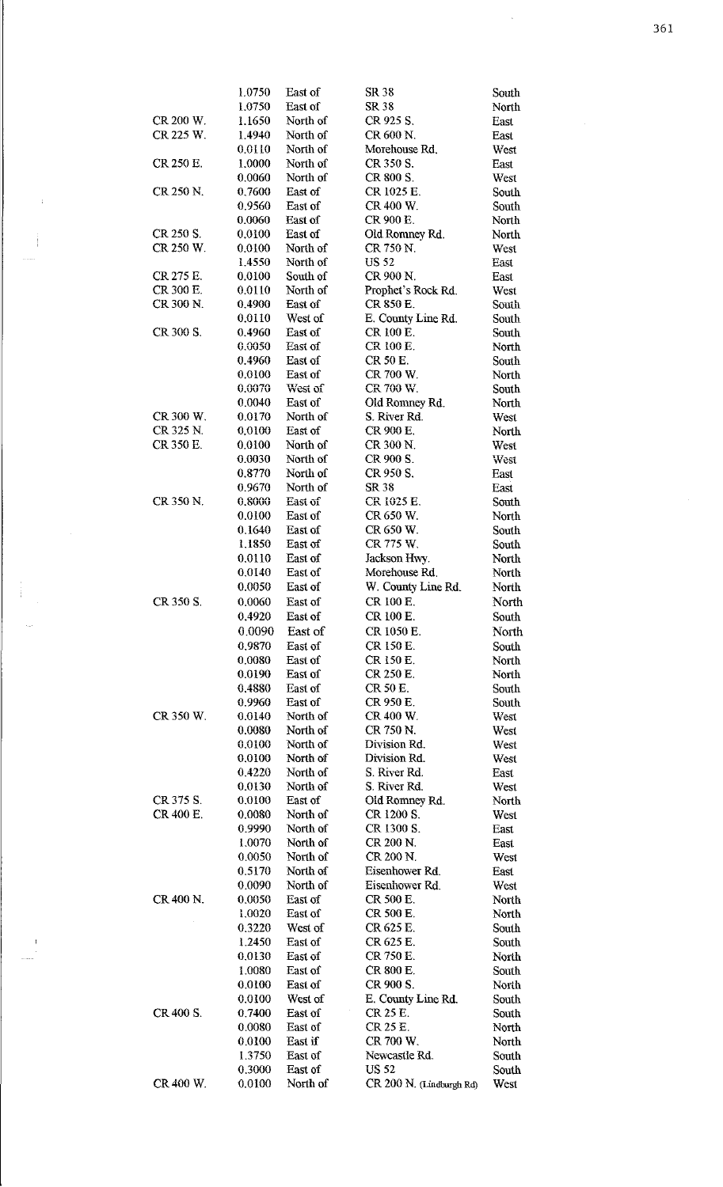|                        | 1.0750           | East of              | SR 38                           | South         |
|------------------------|------------------|----------------------|---------------------------------|---------------|
|                        | 1.0750           | East of              | SR 38                           | North         |
| CR 200 W.              | 1.1650           | North of             | CR 925 S.                       | East          |
| CR 225 W.              | 1.4940           | North of             | CR 600 N.                       | East          |
|                        | 0.0110           | North of             | Morehouse Rd.                   | West          |
| CR 250 E.              | 1,0000           | North of             | CR 350 S.                       | East          |
|                        | 0.0060           | North of             | CR 800 S.                       | West          |
| CR 250 N.              | 0.7600           | East of              | CR 1025 E.                      | South         |
|                        | 0.9560           | East of              | CR 400 W.                       | South         |
|                        | 0.0060           | East of              | CR 900 E.                       | North         |
| CR 250 S.              | 0.0100           | East of              | Old Romney Rd.                  | North         |
| CR 250 W.              | 0.0100           | North of             | CR 750 N.                       | West          |
|                        | 1.4550           | North of             | <b>US 52</b>                    | East          |
| CR 275 E.<br>CR 300 E. | 0.0100<br>0.0110 | South of<br>North of | CR 900 N.<br>Prophet's Rock Rd. | East          |
| CR 300 N.              | 0.4900           | East of              | CR 850 E.                       | West<br>South |
|                        | 0.0110           | West of              | E. County Line Rd.              | South         |
| CR 300 S.              | 0.4960           | East of              | CR 100 E.                       | South         |
|                        | 0.0050           | East of              | CR 100 E.                       | North         |
|                        | 0.4960           | East of              | CR 50 E.                        | South         |
|                        | 0.0100           | East of              | CR 700 W.                       | North         |
|                        | 0.0070           | West of              | CR 700 W.                       | South         |
|                        | 0.0040           | East of              | Old Romney Rd.                  | North         |
| CR 300 W.              | 0.0170           | North of             | S. River Rd.                    | West          |
| CR 325 N.              | 0.0100           | East of              | CR 900 E.                       | North         |
| CR 350 E.              | 0.0100           | North of             | CR 300 N.                       | West          |
|                        | 0.0030           | North of             | CR 900 S.                       | West          |
|                        | 0.8770           | North of             | CR 950 S.                       | East          |
|                        | 0.9670           | North of             | SR 38                           | East          |
| CR 350 N.              | 0.8000           | East of              | CR 1025 E.                      | South         |
|                        | 0.0100           | East of              | CR 650 W.                       | North         |
|                        | 0.1640           | East of              | CR 650 W.                       | South         |
|                        | 1.1850           | East of              | CR 775 W.                       | South         |
|                        | 0.0110           | East of              | Jackson Hwy.                    | North         |
|                        | 0.0140           | East of              | Morehouse Rd.                   | North         |
|                        | 0.0050           | East of              | W. County Line Rd.              | North         |
| CR 350 S.              | 0,0060           | East of              | CR 100 E.                       | North         |
|                        | 0.4920           | East of              | CR 100 E.                       | South         |
|                        | 0.0090           | East of              | CR 1050 E.                      | North         |
|                        | 0.9870           | East of              | CR 150 E.                       | South         |
|                        | 0.0080           | East of              | CR 150 E.                       | North         |
|                        | 0.0190           | East of              | CR 250 E.                       | North         |
|                        | 0.4880           | East of              | CR 50 E.                        | South         |
|                        | 0.9960           | East of              | CR 950 E.                       | South         |
| CR 350 W.              | 0.0140           | North of             | CR 400 W.                       | West          |
|                        | 0.0080           | North of             | CR 750 N.                       | West          |
|                        | 0.0100           | North of             | Division Rd.                    | West          |
|                        | 0.0100           | North of             | Division Rd.                    | West          |
|                        | 0.4220           | North of<br>North of | S. River Rd.<br>S. River Rd.    | East          |
| CR 375 S.              | 0.0130<br>0.0100 | East of              | Old Romney Rd.                  | West<br>North |
| CR 400 E.              | 0.0080           | North of             | CR 1200 S.                      | West          |
|                        | 0.9990           | North of             | CR 1300 S.                      | East          |
|                        | 1.0070           | North of             | CR 200 N.                       | East          |
|                        | 0.0050           | North of             | CR 200 N.                       | West          |
|                        | 0.5170           | North of             | Eisenhower Rd.                  | East          |
|                        | 0.0090           | North of             | Eisenhower Rd.                  | West          |
| CR 400 N.              | 0.0050           | East of              | CR 500 E.                       | North         |
|                        | 1.0020           | East of              | CR 500 E.                       | North         |
|                        | 0.3220           | West of              | CR 625 E.                       | South         |
|                        | 1.2450           | East of              | CR 625 E.                       | South         |
|                        | 0.0130           | East of              | CR 750 E.                       | North         |
|                        | 1.0080           | East of              | CR 800 E.                       | South         |
|                        | 0.0100           | East of              | CR 900 S.                       | North         |
|                        | 0.0100           | West of              | E. County Line Rd.              | South         |
| CR 400 S.              | 0.7400           | East of              | CR 25 E.                        | South         |
|                        | 0.0080           | East of              | CR 25 E.                        | North         |
|                        | 0.0100           | East if              | CR 700 W.                       | North         |
|                        | 1.3750           | East of              | Newcastle Rd.                   | South         |
|                        | 0.3000           | East of              | US 52                           | South         |
| CR 400 W.              | 0.0100           | North of             | CR 200 N. (Lindburgh Rd)        | West          |

 $\ddot{ }$ 

Ì

 $\frac{1}{4}$ 

 $\hat{\mathcal{L}}$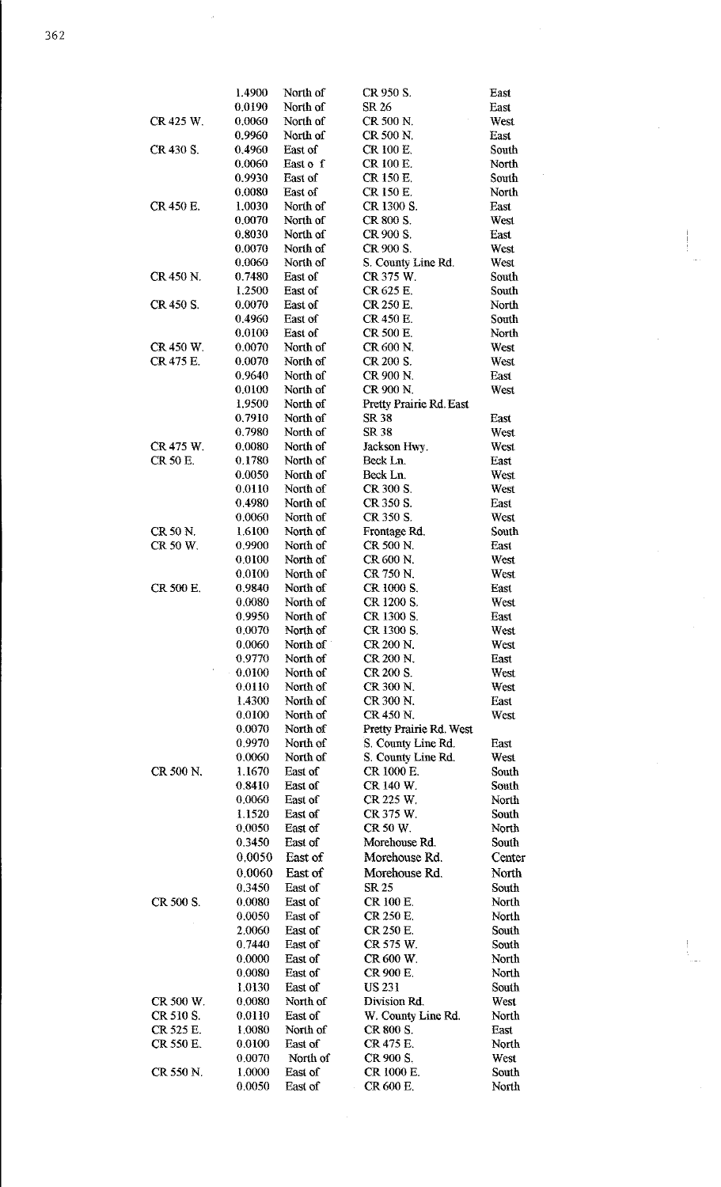1.4900 North of CR 950 S. East 0.0190 North of SR26 East CR 425 W. 0.0060 North of CR 500 N. West<br>0.9960 North of CR 500 N. East CR 500 N. CR 430 S. 0.4960 East of CR 100 E. South 0.0060 East of CR 100 E. North 0.0060 East of CR 100 E. North<br>0.9930 East of CR 150 E. South 0.9930 East of CR 150 E.<br>0.0080 East of CR 150 E. 0.0080 East of CR 150 E. North<br>1.0030 North of CR 1300 S. East CR 450 E. 1.0030 North of CR 1300 S. 0.0070 North of CR 800 S. West<br>0.8030 North of CR 900 S. East CR 900 S. 0.0070 North of CR 900 S. West<br>0.0060 North of S. County Line Rd. West 0.0060 North of S. County Line Rd. West<br>0.7480 East of CR 375 W. South CR 450 N. 0.7480 East of CR 375 W. South 1.2500 East of CR 625 E. South 1.2500 East of CR625 E. South<br>0.0070 East of CR250 E. North CR 450 S. 0.0070 East of CR 250 E.<br>0.4960 East of CR 450 E. 0.4960 East of CR 450 E. South<br>0.0100 East of CR 500 E. North 0.0100 East of CR 500 E.<br>0.0070 North of CR 600 N. CR450W. 0.0070 North of CR600N. West CR 475 E. 0.0070 North of CR 200 S. West<br>0.9640 North of CR 900 N. East 0.9640 North of CR 900 N.<br>0.0100 North of CR 900 N. 0.0100 North of CR 900 N. West<br>1.9500 North of Pretty Prairie Rd. East 1.9500 North of Pretty Prairie Rd. East<br>0.7910 North of SR 38 0.7910 North of SR 38 East<br>0.7980 North of SR 38 West 0.7980 North of<br>0.0080 North of CR475W. 0.0080 North of Jackson Hwy. West<br>CR50 E. 0.1780 North of Beck Ln. East CR50E. 0.1780 North of BeckLn. East 0.0050 North of Beck Ln. West<br>0.0110 North of CR 300 S. West 0.0110 North of CR 300 S.<br>0.4980 North of CR 350 S. CR 350 S. East 0.0060 North of CR 350 S. West<br>1.6100 North of Frontage Rd. South CR 50 N. 1.6100 North of Frontage Rd.<br>CR 50 W. 0.9900 North of CR 500 N. CR 50 W. 0.9900 North of CR 500 N. East<br>0.0100 North of CR 600 N. West 0.0100 North of CR 600 N. West<br>0.0100 North of CR 750 N. West 0.0100 North of CR 750 N.<br>0.9840 North of CR 1000 S CR 500 E. 0.9840 North of CR 1000 S. East<br>0.0080 North of CR 1200 S. West CR 1200 S. 0.9950 North of CR 1300 S. East<br>0.0070 North of CR 1300 S. West CR 1300 S. 0.0060 North of CR 200 N. West<br>0.9770 North of CR 200 N. East 0.9770 North of CR 200 N. East<br>0.0100 North of CR 200 S. West 0.0100 North of CR 200 S.<br>0.0110 North of CR 300 N 0.0110 North of CR 300 N. West<br>1.4300 North of CR 300 N. East 1.4300 North of CR 300 N. East<br>0.0100 North of CR 450 N. West 0.0100 North of CR450 N. West<br>0.0070 North of Pretty Prairie Rd. West 0.0070 North of Pretty Prairie Rd. West<br>0.9970 North of S. County Line Rd. North of S. County Line Rd. East 0.0060 North of S. County Line Rd. West CR 500 N. 1.1670 East of CR 1000 E. South<br>0.8410 East of CR 140 W. South East of CR 140 W. South 0.0060 East of CR 225 W. North<br>1.1520 East of CR 375 W. South 1.1520 East of CR375 W. South<br>0.0050 East of CR50 W. North East of CR 50 W. North 0.3450 East of Morehouse Rd. South 0.0050 East of Morehouse Rd. Center 0.0060 East of Morehouse Rd. North<br>0.3450 East of SR 25 South East of CR 500 S. 0.0080 East of CR 100 E. North 0.0050 East of CR 250 E. North East of CR 250 E. North 2.0060 East of CR250E. South 0.7440 East of CR575W. South 0.0000 East of CR600W. North 0.0080 East of CR 900 E. North<br>1.0130 East of US 231 South 1.0130 East of US 231 South CR 500 W. 0.0080 North of Division Rd. West<br>CR 510 S. 0.0110 East of W. County Line Rd. North CR 510 S.  $0.0110$  East of W. County Line Rd. North CR525 E. 1.0080 North of CR800 S. East CR550E. 0.0100 East of CR475E. North

0.0070 North of CR900 S. West

CR 600 E. North

CR 550 N. 1.0000 East of CR 1000 E. South<br>0.0050 East of CR 600 E. North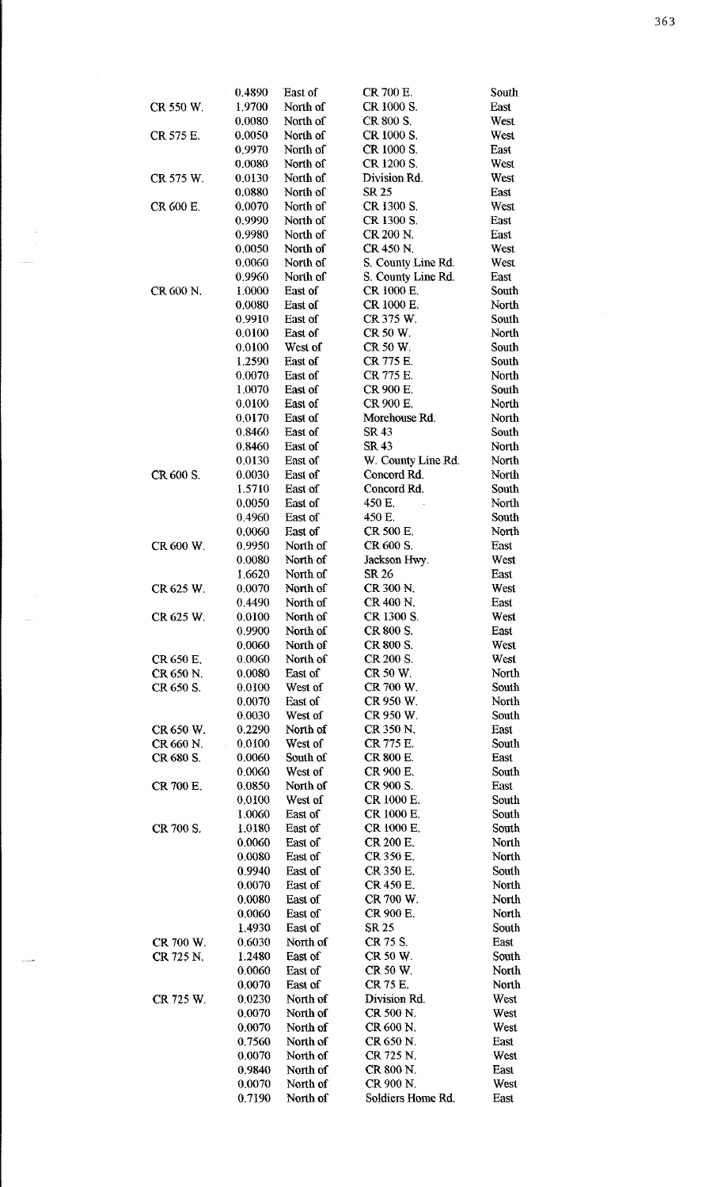|           | 0.4890 | East of  | CR 700 E.          | South |
|-----------|--------|----------|--------------------|-------|
| CR 550 W. | 1.9700 | North of | CR 1000 S.         | East  |
|           | 0.0080 | North of | CR 800 S.          | West  |
| CR 575 E. | 0.0050 | North of | CR 1000 S.         | West  |
|           | 0.9970 | North of | CR 1000 S.         | East  |
|           | 0.0080 | North of | CR 1200 S.         | West  |
| CR 575 W. | 0.0130 | North of | Division Rd.       | West  |
|           | 0.0880 | North of | SR 25              | East  |
| CR 600 E. | 0.0070 | North of | CR 1300 S.         | West  |
|           |        | North of | CR 1300 S.         |       |
|           | 0.9990 |          |                    | East  |
|           | 0.9980 | North of | CR 200 N.          | East  |
|           | 0,0050 | North of | CR 450 N.          | West  |
|           | 0.0060 | North of | S. County Line Rd. | West  |
|           | 0.9960 | North of | S. County Line Rd. | East  |
| CR 600 N. | 1.0000 | East of  | CR 1000 E.         | South |
|           | 0.0080 | East of  | CR 1000 E.         | North |
|           | 0.9910 | East of  | CR 375 W.          | South |
|           | 0.0100 | East of  | CR 50 W.           | North |
|           | 0.0100 | West of  | CR 50 W.           | South |
|           | 1.2590 | East of  | CR 775 E.          | South |
|           | 0.0070 | East of  | CR 775 E.          | North |
|           | 1.0070 | East of  | CR 900 E.          | South |
|           | 0.0100 | East of  | CR 900 E.          | North |
|           | 0.0170 | East of  | Morehouse Rd.      | North |
|           | 0.8460 | East of  | SR 43              | South |
|           | 0.8460 | East of  | SR 43              | North |
|           | 0.0130 | East of  | W. County Line Rd. | North |
| CR 600 S. | 0.0030 | East of  | Concord Rd.        | North |
|           | 1.5710 | East of  | Concord Rd.        | South |
|           | 0.0050 | East of  | 450 E.             | North |
|           |        |          | 450 E.             |       |
|           | 0.4960 | East of  |                    | South |
|           | 0.0060 | East of  | <b>CR 500 E.</b>   | North |
| CR 600 W. | 0.9950 | North of | CR 600 S.          | East  |
|           | 0.0080 | North of | Jackson Hwy.       | West  |
|           | 1.6620 | North of | SR 26              | East  |
| CR 625 W. | 0.0070 | North of | CR 300 N.          | West  |
|           | 0.4490 | North of | CR 400 N.          | East  |
| CR 625 W. | 0.0100 | North of | CR 1300 S.         | West  |
|           | 0.9900 | North of | CR 800 S.          | East  |
|           | 0.0060 | North of | CR 800 S.          | West  |
| CR 650 E. | 0.0060 | North of | CR 200 S.          | West  |
| CR 650 N. | 0.0080 | East of  | CR 50 W.           | North |
| CR 650 S. | 0.0100 | West of  | CR 700 W.          | South |
|           | 0.0070 | East of  | CR 950 W.          | North |
|           | 0.0030 | West of  | CR 950 W.          | South |
| CR 650 W. | 0.2290 | North of | CR 350 N.          | East  |
| CR 660 N. | 0.0100 | West of  | CR 775 E.          | South |
| CR 680 S. | 0.0060 | South of | <b>CR 800 E.</b>   | East  |
|           | 0.0060 | West of  | CR 900 E.          | South |
| CR 700 E. | 0.0850 | North of | CR 900 S.          | East  |
|           | 0.0100 | West of  | CR 1000 E.         | South |
|           | 1.0060 | East of  | CR 1000 E.         | South |
| CR 700 S. | 1.0180 | East of  | CR 1000 E.         | South |
|           | 0.0060 | East of  | CR 200 E.          | North |
|           | 0.0080 | East of  | CR 350 E.          | North |
|           | 0.9940 | East of  | CR 350 E.          | South |
|           | 0.0070 | East of  | CR 450 E.          | North |
|           |        |          | CR 700 W.          |       |
|           | 0.0080 | East of  |                    | North |
|           | 0.0060 | East of  | CR 900 E.          | North |
|           | 14930  | East of  | SR 25              | South |
| CR 700 W. | 0.6030 | North of | CR 75 S.           | East  |
| CR 725 N. | 1.2480 | East of  | CR 50 W.           | South |
|           | 0.0060 | East of  | CR 50 W.           | North |
|           | 0.0070 | East of  | CR 75 E.           | North |
| CR 725 W. | 0.0230 | North of | Division Rd.       | West  |
|           | 0.0070 | North of | CR 500 N.          | West  |
|           | 0.0070 | North of | CR 600 N.          | West  |
|           | 0.7560 | North of | CR 650 N.          | East  |
|           | 0.0070 | North of | CR 725 N.          | West  |
|           | 0.9840 | North of | CR 800 N.          | East  |
|           | 0.0070 | North of | CR 900 N.          | West  |
|           | 0.7190 | North of | Soldiers Home Rd.  | East  |
|           |        |          |                    |       |

 $\mathcal{A}_{\mathcal{A}}$  $\lim_{\epsilon\rightarrow 0} \epsilon^{(0)}$  .

 $\label{eq:2.1} \frac{1}{\sqrt{2}}\left(\frac{1}{\sqrt{2}}\right)^{2} \left(\frac{1}{\sqrt{2}}\right)^{2}$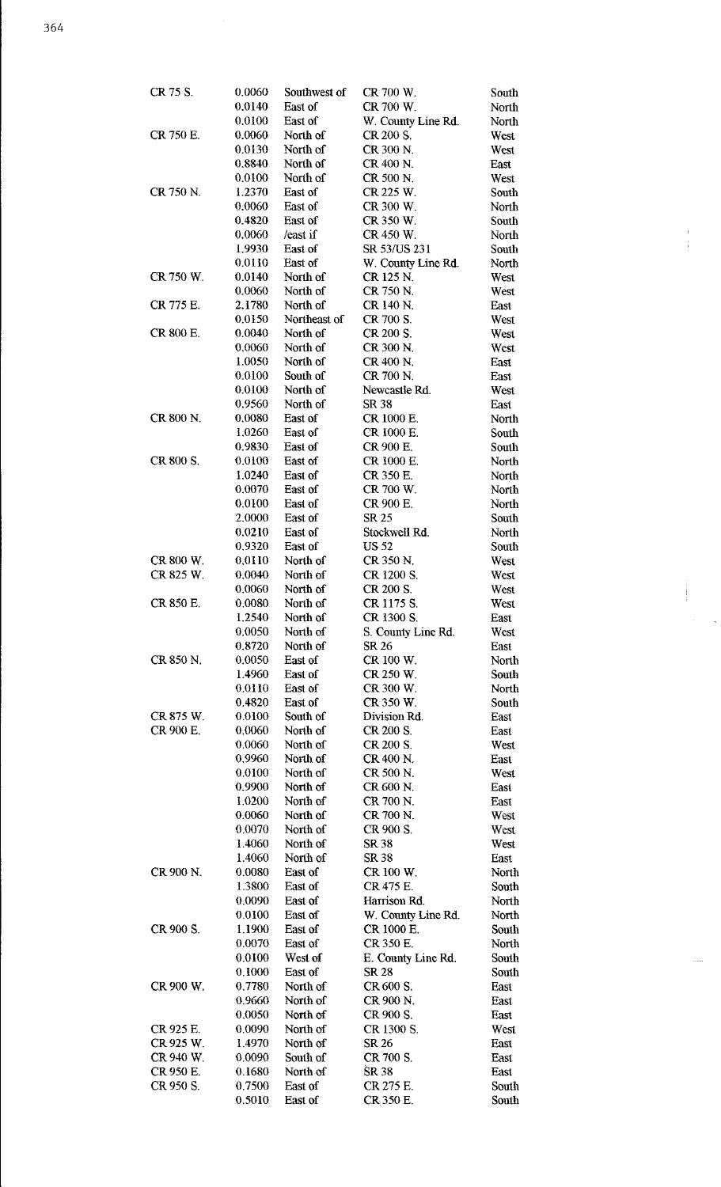$\frac{1}{2}$ 

| CR 75 S.  | 0.0060           | Southwest of         | CR 700 W.              | South          |
|-----------|------------------|----------------------|------------------------|----------------|
|           | 0.0140           | East of              | CR 700 W.              | North          |
|           | 0.0100           | East of              | W. County Line Rd.     | North          |
| CR 750 E. | 0.0060           | North of             | CR 200 S.              | West           |
|           | 0.0130           | North of             | CR 300 N.              | West           |
|           | 0.8840           | North of             | CR 400 N.              | East           |
|           | 0.0100           | North of             | CR 500 N.              | West           |
| CR 750 N. | 1.2370<br>0.0060 | East of<br>East of   | CR 225 W.<br>CR 300 W. | South<br>North |
|           | 0.4820           | East of              | CR 350 W.              | South          |
|           | 0.0060           | /east if             | CR 450 W.              | North          |
|           | 1.9930           | East of              | SR 53/US 231           | South          |
|           | 0.0110           | East of              | W. County Line Rd.     | North          |
| CR 750 W. | 0.0140           | North of             | CR 125 N.              | West           |
|           | 0.0060           | North of             | CR 750 N.              | West           |
| CR 775 E. | 2.1780           | North of             | CR 140 N               | East           |
|           | 0.0150           | Northeast of         | CR 700 S.              | West           |
| CR 800 E. | 0.0040<br>0.0060 | North of<br>North of | CR 200 S.<br>CR 300 N. | West           |
|           | 1.0050           | North of             | CR 400 N.              | West<br>East   |
|           | 0.0100           | South of             | CR 700 N.              | East           |
|           | 0.0100           | North of             | Newcastle Rd.          | West           |
|           | 0.9560           | North of             | SR 38                  | East           |
| CR 800 N. | 0.0080           | East of              | CR 1000 E.             | North          |
|           | 1.0260           | East of              | CR 1000 E.             | South          |
|           | 0.9830           | East of              | CR 900 E.              | South          |
| CR 800 S. | 0.0100           | East of              | CR 1000 E.             | North          |
|           | 1.0240           | East of              | CR 350 E.              | North          |
|           | 0.0070           | East of              | CR 700 W.              | North          |
|           | 0.0100<br>2.0000 | East of<br>East of   | CR 900 E.<br>SR 25     | North<br>South |
|           | 0.0210           | East of              | Stockwell Rd.          | North          |
|           | 0.9320           | East of              | <b>US 52</b>           | South          |
| CR 800 W. | 0.0110           | North of             | CR 350 N.              | West           |
| CR 825 W. | 0.0040           | North of             | CR 1200 S.             | West           |
|           | 0.0060           | North of             | CR 200 S.              | West           |
| CR 850 E. | 0.0080           | North of             | CR 1175 S.             | West           |
|           | 1.2540           | North of             | CR 1300 S.             | East           |
|           | 0.0050           | North of             | S. County Line Rd.     | West           |
|           | 0.8720           | North of             | SR 26                  | East           |
| CR 850 N  | 0.0050<br>1.4960 | East of<br>East of   | CR 100 W.<br>CR 250 W. | North<br>South |
|           | 0.0110           | East of              | CR 300 W.              | North          |
|           | 0.4820           | East of              | CR 350 W.              | South          |
| CR 875 W. | 0.0100           | South of             | Division Rd.           | East           |
| CR 900 E. | 0.0060           | North of             | CR 200 S.              | East           |
|           | 0 0060           | North of             | CR 200 S.              | West           |
|           | 0.9960           | North of             | CR 400 N.              | East           |
|           | 0.0100           | North of             | CR 500 N.              | West           |
|           | 0.9900           | North of             | CR 600 N.              | East           |
|           | 1.0200<br>0.0060 | North of<br>North of | CR 700 N<br>CR 700 N.  | East<br>West   |
|           | 0.0070           | North of             | CR 900 S.              | West           |
|           | 1.4060           | North of             | SR 38                  | West           |
|           | 1.4060           | North of             | SR 38                  | East           |
| CR 900 N. | 0.0080           | East of              | CR 100 W.              | North          |
|           | 1.3800           | East of              | CR 475 E.              | South          |
|           | 0.0090           | East of              | Harrison Rd.           | North          |
|           | 0.0100           | East of              | W. County Line Rd.     | North          |
| CR 900 S. | 1.1900           | East of              | CR 1000 E.             | South          |
|           | 0.0070           | East of              | CR 350 E.              | North          |
|           | 0.0100           | West of              | E. County Line Rd.     | South          |
| CR 900 W. | 0.1000<br>0.7780 | East of<br>North of  | SR 28<br>CR 600 S.     | South<br>East  |
|           | 0.9660           | North of             | CR 900 N.              | East           |
|           | 0.0050           | North of             | CR 900 S.              | East           |
| CR 925 E. | 0.0090           | North of             | CR 1300 S.             | West           |
| CR 925 W. | 1.4970           | North of             | SR 26                  | East           |
| CR 940 W. | 0.0090           | South of             | CR 700 S.              | East           |
| CR 950 E. | 0.1680           | North of             | SR 38                  | East           |
| CR 950 S. | 0.7500           | East of              | CR 275 E.              | South          |
|           | 0.5010           | East of              | CR <sub>350</sub> E.   | South          |

 $\begin{array}{c} 1 \\ 1 \\ 1 \\ 1 \end{array}$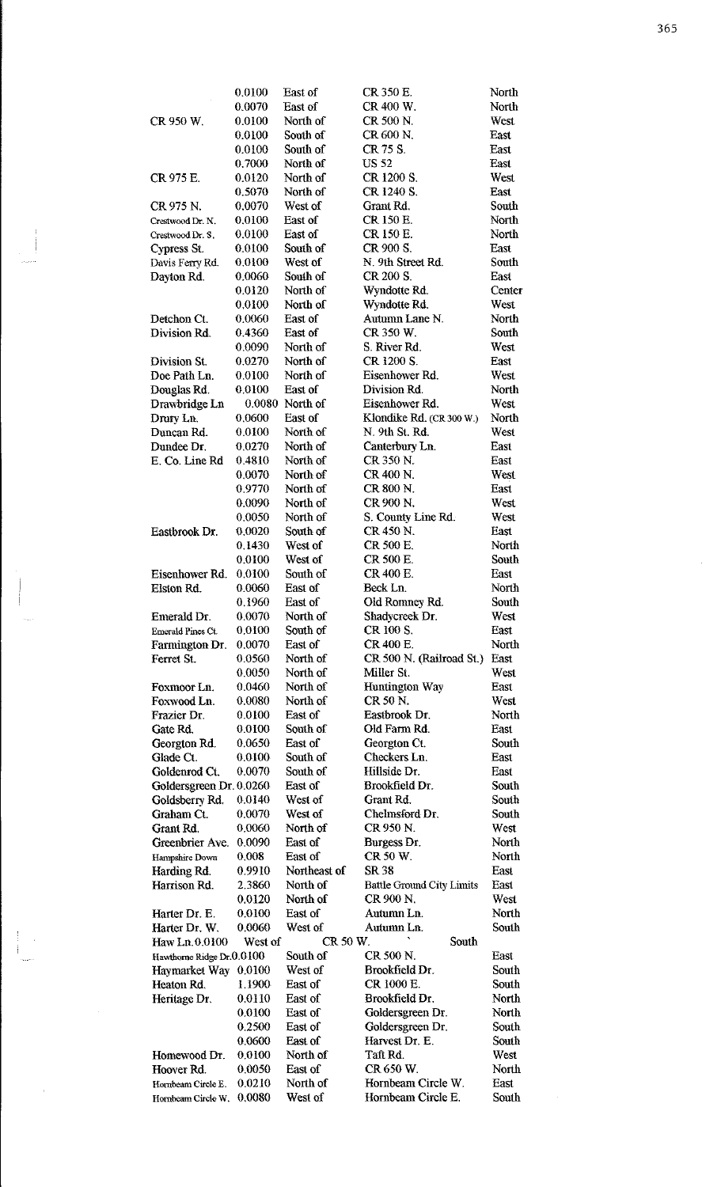|                                     | 0.0100           | East of              | CR 350 E.                                | North         |
|-------------------------------------|------------------|----------------------|------------------------------------------|---------------|
|                                     | 0.0070           | East of              | CR 400 W.                                | North         |
| CR 950 W.                           | 0.0100           | North of             | CR 500 N.                                | West          |
|                                     | 0.0100           | South of             | CR 600 N.                                | East          |
|                                     | 0.0100           | South of             | CR 75 S.                                 | East          |
| CR 975 E.                           | 0.7000<br>0.0120 | North of<br>North of | <b>US 52</b><br>CR 1200 S.               | East<br>West  |
|                                     | 0.5070           | North of             | CR 1240 S.                               | East          |
| CR 975 N.                           | 0.0070           | West of              | Grant Rd.                                | South         |
| Crestwood Dr. N.                    | 0.0100           | East of              | CR 150 E.                                | North         |
| Crestwood Dr. S.                    | 0.0100           | East of              | CR 150 E.                                | North         |
| Cypress St.                         | 0.0100           | South of             | CR 900 S.                                | East          |
| Davis Ferry Rd.                     | 0.0100           | West of              | N. 9th Street Rd.                        | South         |
| Dayton Rd.                          | 0.0060           | South of             | CR 200 S.                                | East          |
|                                     | 0.0120           | North of             | Wyndotte Rd.                             | Center        |
|                                     | 0.0100           | North of             | Wyndotte Rd.                             | West          |
| Detchon Ct.                         | 0.0060           | East of              | Autumn Lane N.                           | North         |
| Division Rd.                        | 0.4360           | East of              | CR 350 W.                                | South         |
|                                     | 0.0090           | North of             | S. River Rd.                             | West          |
| Division St.                        | 0.0270           | North of             | CR 1200 S.                               | East          |
| Doe Path Ln.                        | 0.0100           | North of             | Eisenhower Rd.                           | West          |
| Douglas Rd.                         | 0.0100<br>0.0080 | East of<br>North of  | Division Rd.<br>Eisenhower Rd.           | North<br>West |
| Drawbridge Ln<br>Drury Ln.          | 0.0600           | East of              | Klondike Rd. (CR 300 W.)                 | North         |
| Duncan Rd.                          | 0.0100           | North of             | N. 9th St. Rd.                           | West          |
| Dundee Dr.                          | 0.0270           | North of             | Canterbury Ln.                           | East          |
| E. Co. Line Rd                      | 0.4810           | North of             | CR 350 N.                                | East          |
|                                     | 0.0070           | North of             | CR 400 N.                                | West          |
|                                     | 0.9770           | North of             | CR 800 N                                 | East          |
|                                     | 0.0090           | North of             | CR 900 N.                                | West          |
|                                     | 0.0050           | North of             | S. County Line Rd.                       | West          |
| Eastbrook Dr.                       | 0 0 0 2 0        | South of             | CR 450 N                                 | East          |
|                                     | 0.1430           | West of              | CR 500 E.                                | North         |
|                                     | 0.0100           | West of              | CR 500 E.                                | South         |
| Eisenhower Rd.                      | 0.0100           | South of             | CR 400 E.                                | East          |
| Elston Rd.                          | 0.0060           | East of              | Beck Ln.                                 | North         |
|                                     | 0.1960           | East of              | Old Romney Rd.                           | South         |
| Emerald Dr.                         | 0.0070           | North of             | Shadycreek Dr.                           | West          |
| Emerald Pines Ct.<br>Farmington Dr. | 0.0100<br>0.0070 | South of<br>East of  | CR 100 S.<br>CR 400 E.                   | East<br>North |
| Ferret St.                          | 0 0 5 6 0        | North of             | CR 500 N. (Railroad St.)                 | East          |
|                                     | 0.0050           | North of             | Miller St.                               | West          |
| Foxmoor Ln.                         | 0.0460           | North of             | Huntington Way                           | East          |
| Foxwood Ln.                         | 0.0080           | North of             | CR 50 N.                                 | West          |
| Frazier Dr.                         | 0.0100           | East of              | Eastbrook Dr.                            | North         |
| Gate Rd.                            |                  |                      |                                          |               |
| Georgton Rd.                        | 0.0100           | South of             | Old Farm Rd.                             | East          |
|                                     | 0.0650           | East of              | Georgton Ct.                             | South         |
| Glade Ct.                           | 0.0100           | South of             | Checkers Ln.                             | East          |
| Goldenrod Ct.                       | 0.0070           | South of             | Hillside Dr.                             | East          |
| Goldersgreen Dr. 0.0260             |                  | East of              | Brookfield Dr.                           | South         |
| Goldsberry Rd.                      | 0.0140           | West of              | Grant Rd.                                | South         |
| Graham Ct.                          | 0.0070           | West of              | Chelmsford Dr.                           | South         |
| Grant Rd.                           | 0.0060           | North of             | CR 950 N.                                | West          |
| Greenbrier Ave.                     | 0.0090           | East of              | Burgess Dr.                              | North         |
| Hampshire Down                      | 0.008            | East of              | CR 50 W.                                 | North         |
| Harding Rd.                         | 0.9910           | Northeast of         | SR 38                                    | East          |
| Harrison Rd.                        | 2.3860           | North of             | <b>Battle Ground City Limits</b>         | East          |
|                                     | 0.0120           | North of             | CR 900 N.                                | West          |
| Harter Dr. E.                       | 0.0100           | East or              | Autumn Ln.                               | North         |
| Harter Dr. W.                       | 0.0060           | West of              | Autumn Ln.                               | South         |
| Haw Ln.0.0100                       | West of          | CR 50 W.             | South                                    |               |
| Hawthorne Ridge Dr.0.0100           |                  | South of             | CR 500 N.<br>Brookfield Dr.              | East<br>South |
| Haymarket Way                       | 0.0100<br>1.1900 | West of<br>East of   | CR 1000 E.                               | South         |
| Heaton Rd.                          | 0.0110           | East of              | Brookfield Dr.                           | North         |
| Heritage Dr.                        | 0.0100           | East of              | Goldersgreen Dr.                         | <b>North</b>  |
|                                     | 0.2500           | East of              | Goldersgreen Dr.                         | South         |
|                                     | 0.0600           | East of              | Harvest Dr. E.                           | South         |
| Homewood Dr.                        | 0.0100           | North of             | Taft Rd.                                 | West          |
| Hoover Rd.                          | 0.0050           | East of              | CR 650 W.                                | North         |
| Hornbeam Circle E.                  | 0.0210<br>0.0080 | North of<br>West of  | Hornbeam Circle W.<br>Hornbeam Circle E. | East<br>South |

 $\begin{array}{c} \begin{array}{c} \begin{array}{c} \end{array} \\ \begin{array}{c} \end{array} \end{array} \end{array}$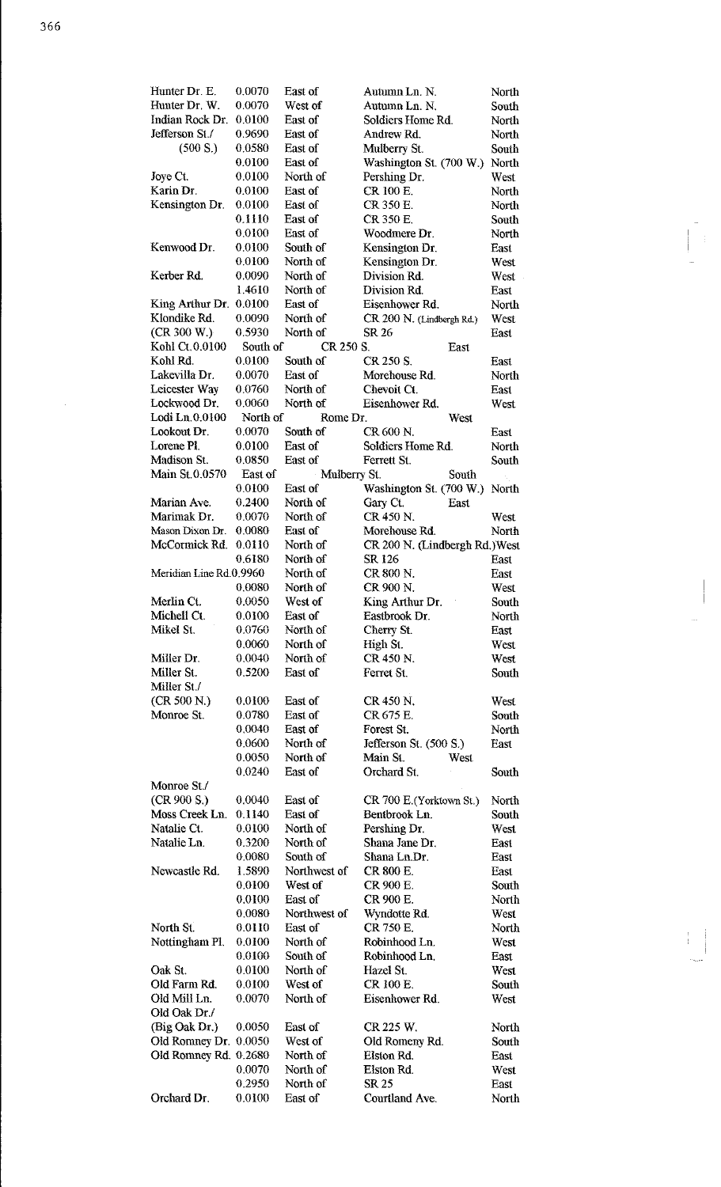| Hunter Dr. E.           | 0.0070   | East of      | Autumn Ln. N.                  | North |
|-------------------------|----------|--------------|--------------------------------|-------|
| Hunter Dr. W.           | 0.0070   | West of      | Autumn Ln. N.                  | South |
| Indian Rock Dr.         | 0.0100   | East of      | Soldiers Home Rd.              | North |
| Jefferson St./          | 0.9690   | East of      | Andrew Rd.                     | North |
| (500 S.)                | 0.0580   | East of      | Mulberry St.                   | South |
|                         | 0.0100   | East of      | Washington St. (700 W.)        | North |
| Joye Ct.                | 0.0100   | North of     | Pershing Dr.                   | West  |
| Karin Dr.               | 0.0100   | East of      | CR 100 E.                      | North |
| Kensington Dr.          | 0.0100   | East of      | CR 350 E.                      | North |
|                         | 0.1110   | East of      | CR 350 E.                      | South |
|                         | 0.0100   | East of      | Woodmere Dr.                   | North |
| Kenwood Dr.             | 0.0100   | South of     | Kensington Dr.                 | East  |
|                         |          | North of     |                                |       |
|                         | 0.0100   |              | Kensington Dr.                 | West  |
| Kerber Rd.              | 0.0090   | North of     | Division Rd.                   | West  |
|                         | 1.4610   | North of     | Division Rd.                   | East  |
| King Arthur Dr.         | 0.0100   | East of      | Eisenhower Rd.                 | North |
| Klondike Rd.            | 0.0090   | North of     | CR 200 N. (Lindbergh Rd.)      | West  |
| (CR 300 W.)             | 0.5930   | North of     | SR 26                          | East  |
| Kohl Ct. 0.0100         | South of | CR 250 S.    | East                           |       |
| Kohl Rd.                | 0.0100   | South of     | CR 250 S.                      | East  |
| Lakevilla Dr.           | 0.0070   | East of      | Morehouse Rd.                  | North |
| Leicester Way           | 0.0760   | North of     | Chevoit Ct.                    | East  |
| Lockwood Dr.            | 0.0060   | North of     | Eisenhower Rd.                 | West  |
| Lodi Ln. 0.0100         | North of | Rome Dr.     | West                           |       |
| Lookout Dr.             | 0.0070   | South of     | CR 600 N.                      | East  |
| Lorene Pl.              | 0.0100   | East of      | Soldiers Home Rd.              | North |
| Madison St.             |          |              |                                |       |
|                         | 0.0850   | East of      | Ferrett St.                    | South |
| Main St.0.0570          | East of  | Mulberry St. | South                          |       |
|                         | 0.0100   | East of      | Washington St. (700 W.)        | North |
| Marian Ave.             | 0.2400   | North of     | Gary Ct.<br>East               |       |
| Marimak Dr.             | 0.0070   | North of     | CR 450 N.                      | West  |
| Mason Dixon Dr.         | 0 0080   | East of      | Morehouse Rd.                  | North |
| McCormick Rd.           | 0.0110   | North of     | CR 200 N. (Lindbergh Rd.) West |       |
|                         | 0.6180   | North of     | SR 126                         | East  |
| Meridian Line Rd.0.9960 |          | North of     | CR 800 N.                      | East  |
|                         | 0.0080   | North of     | CR 900 N.                      | West  |
| Merlin Ct.              | 0.0050   | West of      | King Arthur Dr.                | South |
| Michell Ct.             | 0.0100   |              |                                |       |
|                         |          |              |                                |       |
|                         |          | East of      | Eastbrook Dr.                  | North |
| Mikel St.               | 0.0760   | North of     | Cherry St.                     | East  |
|                         | 0.0060   | North of     | High St.                       | West  |
| Miller Dr.              | 0.0040   | North of     | CR 450 N                       | West  |
| Miller St.              | 0.5200   | East of      | Ferret St.                     | South |
| Miller St./             |          |              |                                |       |
| (CR 500 N.)             | 0.0100   | East of      | CR 450 N                       | West  |
| Monroe St.              | 0.0780   | East of      | CR 675 E.                      | South |
|                         | 0.0040   | East of      | Forest St.                     | North |
|                         | 0.0600   | North of     |                                |       |
|                         | 0.0050   |              | Jefferson St. (500 S.)<br>West | East  |
|                         |          | North of     | Main St.                       |       |
|                         | 0.0240   | East of      | Orchard St.                    | South |
| Monroe St./             |          |              |                                |       |
| (CR 900 S.)             | 0.0040   | East of      | CR 700 E. (Yorktown St.)       | North |
| Moss Creek Ln.          | 0.1140   | East of      | Bentbrook Ln.                  | South |
| Natalie Ct.             | 0.0100   | North of     | Pershing Dr.                   | West  |
| Natalie Ln.             | 0.3200   | North of     | Shana Jane Dr.                 | East  |
|                         | 0.0080   | South of     | Shana Ln.Dr.                   | East  |
| Newcastle Rd.           | 1.5890   | Northwest of | CR 800 E.                      | East  |
|                         | 0.0100   | West of      | CR 900 E.                      | South |
|                         | 0.0100   | East of      | CR 900 E.                      | North |
|                         | 0.0080   | Northwest of | Wyndotte Rd.                   | West  |
|                         |          | East of      | CR 750 E.                      |       |
| North St.               | 0.0110   |              |                                | North |
| Nottingham Pl.          | 0.0100   | North of     | Robinhood Ln.                  | West  |
|                         | 0.0100   | South of     | Robinhood Ln.                  | East  |
| Oak St.                 | 0.0100   | North of     | Hazel St.                      | West  |
| Old Farm Rd.            | 0.0100   | West of      | CR 100 E.                      | South |
| Old Mill Ln.            | 0.0070   | North of     | Eisenhower Rd.                 | West  |
| Old Oak Dr./            |          |              |                                |       |
| (Big Oak Dr.)           | 0.0050   | East of      | CR 225 W.                      | North |
| Old Romney Dr.          | 0.0050   | West of      | Old Romeny Rd.                 | South |
| Old Romney Rd. 0.2680   |          | North of     | Elston Rd.                     | East  |
|                         | 0.0070   | North of     | Elston Rd.                     | West  |
|                         | 0.2950   | North of     | SR 25                          | East  |

 $\frac{1}{2}$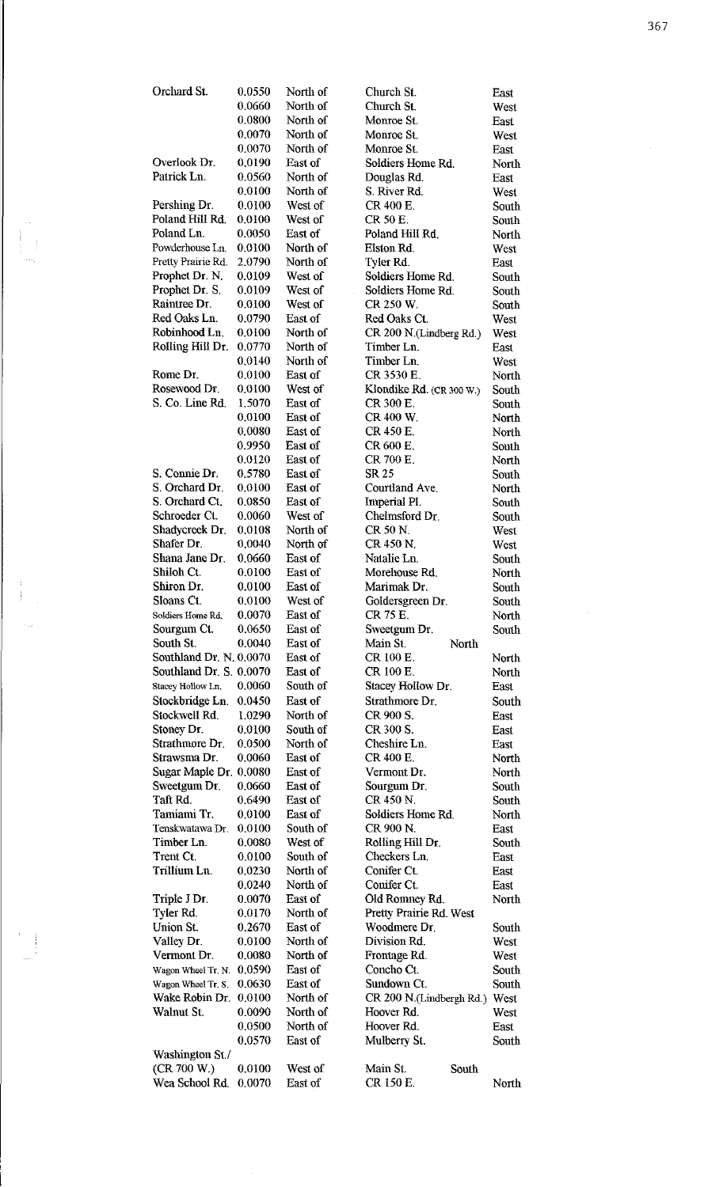| Orchard St.                          | 0.0550           | North of             | Church St.                              | East                 |
|--------------------------------------|------------------|----------------------|-----------------------------------------|----------------------|
|                                      | 0.0660           | North of             | Church St.                              | West                 |
|                                      | 0.0800           | North of             | Monroe St.                              | East                 |
|                                      | 0.0070<br>0.0070 | North of<br>North of | Monroe St.<br>Monroe St.                | West                 |
| Overlook Dr.                         | 0.0190           | East of              | Soldiers Home Rd.                       | East<br>North        |
| Patrick Ln.                          | 0.0560           | North of             | Douglas Rd.                             | East                 |
|                                      | 0.0100           | North of             | S. River Rd.                            | West                 |
| Pershing Dr.                         | 0.0100           | West of              | CR 400 E.                               | South                |
| Poland Hill Rd.                      | 0.0100           | West of              | CR 50 E.                                | South                |
| Poland Ln.                           | 0.0050           | East of              | Poland Hill Rd.                         | North                |
| Powderhouse Ln.                      | 0.0100           | North of             | Elston Rd.                              | West                 |
| Pretty Prairie Rd<br>Prophet Dr. N.  | 2.0790<br>0.0109 | North of<br>West of  | Tyler Rd.<br>Soldiers Home Rd.          | East                 |
| Prophet Dr. S.                       | 0.0109           | West of              | Soldiers Home Rd.                       | South<br>South       |
| Raintree Dr.                         | 0.0100           | West of              | CR 250 W.                               | South                |
| Red Oaks Ln.                         | 0.0790           | East of              | Red Oaks Ct.                            | West                 |
| Robinhood Ln.                        | 0.0100           | North of             | CR 200 N.(Lindberg Rd.)                 | West                 |
| Rolling Hill Dr.                     | 0.0770           | North of             | Timber Ln.                              | East                 |
|                                      | 0.0140           | North of             | Timber Ln.                              | West                 |
| Rome Dr.                             | 0.0100           | East of              | CR 3530 E.                              | North                |
| Rosewood Dr.<br>S. Co. Line Rd.      | 0.0100<br>1.5070 | West of<br>East of   | Klondike Rd. (CR 300 W.)<br>CR 300 E.   | South<br>South       |
|                                      | 0.0100           | East of              | CR 400 W.                               | North                |
|                                      | 0.0080           | East of              | CR 450 E.                               | North                |
|                                      | 0.9950           | East of              | CR 600 E.                               | South                |
|                                      | 0.0120           | East of              | CR 700 E.                               | North                |
| S. Connie Dr.                        | 0.5780           | East of              | SR 25                                   | South                |
| S. Orchard Dr.                       | 0.0100           | East of              | Courtland Ave.                          | North                |
| S. Orchard Ct.                       | 0.0850           | East of              | Imperial PI.                            | South                |
| Schroeder Ct.<br>Shadycreek Dr.      | 0.0060<br>0.0108 | West of<br>North of  | Chelmsford Dr.<br>CR 50 N.              | South<br><b>West</b> |
| Shafer Dr.                           | 0.0040           | North of             | CR 450 N.                               | West                 |
| Shana Jane Dr.                       | 0.0660           | East of              | Natalie Ln.                             | South                |
| Shiloh Ct.                           | 0.0100           | East of              | Morehouse Rd.                           | North                |
| Shiron Dr.                           | 0.0100           | East of              | Marimak Dr.                             | South                |
| Sloans Ct.                           | 0.0100           | West of              | Goldersgreen Dr.                        | South                |
| Soldiers Home Rd.                    | 0.0070           | East of              | CR 75 E.                                | North                |
| Sourgum Ct.                          | 0.0650           | East of              | Sweetgum Dr.                            | South                |
| South St.<br>Southland Dr. N. 0.0070 | 0.0040           | East of<br>East of   | Main St.<br>North<br>CR 100 E.          | North                |
| Southland Dr. S. 0.0070              |                  | East of              | CR 100 E.                               | North                |
| Stacey Hollow Ln.                    | 0.0060           | South of             | Stacey Hollow Dr.                       | East                 |
| Stockbridge Ln.                      | 0.0450           | East of              | Strathmore Dr.                          | South                |
| Stockwell Rd.                        | 1.0290           | North of             | CR 900 S.                               | East                 |
| Stoney Dr.                           | 0.0100           | South of             | CR 300 S.                               | East                 |
| Strathmore Dr.                       | 0.0500           | North of             | Cheshire Ln.                            | East                 |
| Strawsma Dr.                         | 0.0060           | East of              | CR 400 E.                               | North                |
| Sugar Maple Dr.                      | 0.0080           | East of              | Vermont Dr.                             | North                |
| Sweetgum Dr.<br>Taft Rd.             | 0.0660<br>0.6490 | East of<br>East of   | Sourgum Dr.<br>CR 450 N.                | South<br>South       |
| Tamiami Tr.                          | 0.0100           | East of              | Soldiers Home Rd.                       | North                |
| Tenskwatawa Dr.                      | 0.0100           | South of             | CR 900 N.                               | East                 |
| Timber Ln.                           | 0.0080           | West of              | Rolling Hill Dr.                        | South                |
| Trent Ct.                            | 0.0100           | South of             | Checkers Ln.                            | East                 |
| Trillium Ln.                         | 0.0230           | North of             | Conifer Ct.                             | East                 |
|                                      | 0.0240           | North of             | Conifer Ct.                             | East                 |
| Triple J Dr.                         | 0.0070           | East of              | Old Romney Rd.                          | North                |
| Tyler Rd.<br>Union St.               | 0.0170<br>0.2670 | North of<br>East of  | Pretty Prairie Rd. West<br>Woodmere Dr. | South                |
| Valley Dr.                           | 0.0100           | North of             | Division Rd.                            | West                 |
| Vermont Dr.                          | 0.0080           | North of             | Frontage Rd.                            | West                 |
| Wagon Wheel Tr. N.                   | 0.0590           | East of              | Concho Ct.                              | South                |
| Wagon Wheel Tr. S.                   | 0.0630           | East of              | Sundown Ct.                             | South                |
| Wake Robin Dr.                       | 0.0100           | North of             | CR 200 N.(Lindbergh Rd.)                | West                 |
| Walnut St.                           | 0.0090           | North of             | Hoover Rd.                              | West                 |
|                                      | 0.0500           | North of             | Hoover Rd.                              | East                 |
|                                      | 0.0570           | East of              | Mulberry St.                            | South                |
| Washington St./<br>(CR 700 W.)       | 0.0100           | West of              | Main St.<br>South                       |                      |
| Wea School Rd.                       | 0.0070           | East of              | CR 150 E.                               | North                |
|                                      |                  |                      |                                         |                      |

 $\begin{array}{c} 1 \\ 1 \end{array}$ 

ŧ

 $\frac{1}{2}$ 

 $\hat{\mathcal{L}}$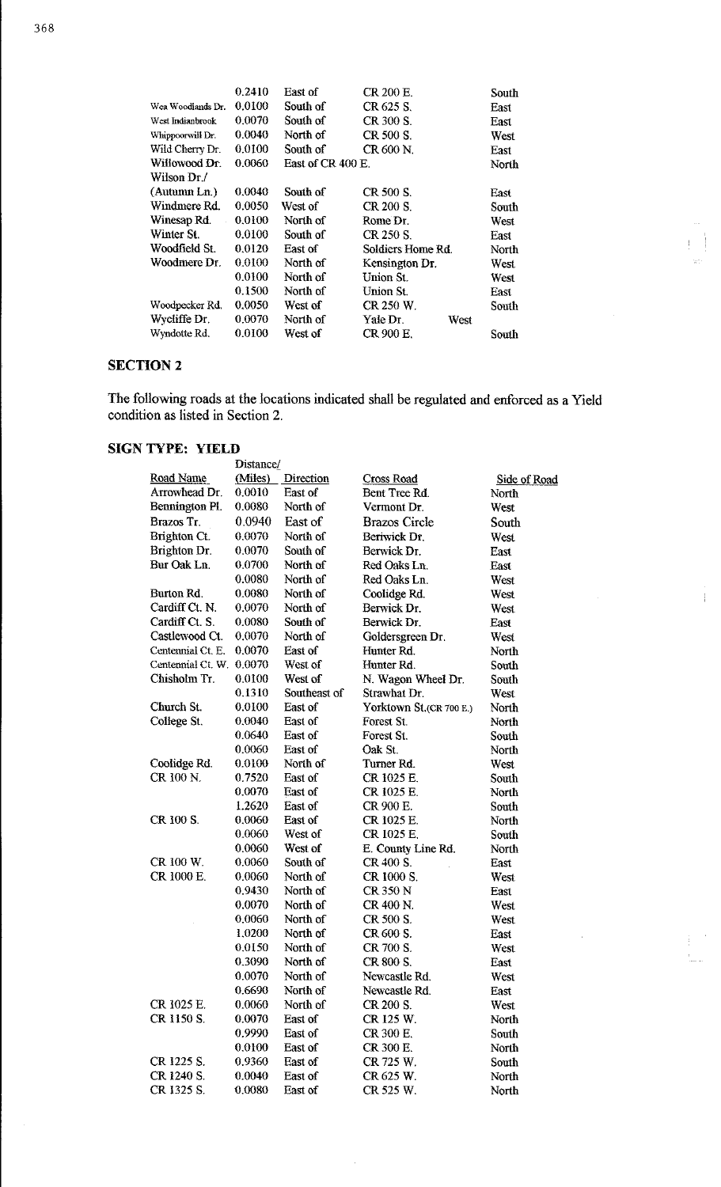|                   | 0.2410 | East of           | CR 200 E.         |      | South |
|-------------------|--------|-------------------|-------------------|------|-------|
| Wea Woodlands Dr. | 0.0100 | South of          | CR 625 S.         |      | East  |
| West Indianbrook  | 0.0070 | South of          | CR 300 S.         |      | East  |
| Whippoorwill Dr.  | 0.0040 | North of          | CR 500 S.         |      | West  |
| Wild Cherry Dr.   | 0.0100 | South of          | CR 600 N.         |      | East  |
| Willowood Dr.     | 0.0060 | East of CR 400 E. |                   |      | North |
| Wilson Dr./       |        |                   |                   |      |       |
| (Autumn Ln.)      | 0.0040 | South of          | CR 500 S.         |      | East  |
| Windmere Rd.      | 0.0050 | West of           | CR 200 S.         |      | South |
| Winesap Rd.       | 0.0100 | North of          | Rome Dr.          |      | West  |
| Winter St.        | 0.0100 | South of          | CR 250 S.         |      | East  |
| Woodfield St.     | 0.0120 | East of           | Soldiers Home Rd. |      | North |
| Woodmere Dr.      | 0.0100 | North of          | Kensington Dr.    |      | West  |
|                   | 0.0100 | North of          | Union St.         |      | West  |
|                   | 0.1500 | North of          | Union St.         |      | East  |
| Woodpecker Rd.    | 0.0050 | West of           | CR 250 W.         |      | South |
| Wycliffe Dr.      | 0.0070 | North of          | Yale Dr.          | West |       |
| Wyndotte Rd.      | 0.0100 | West of           | CR 900 E.         |      | South |
|                   |        |                   |                   |      |       |

# **SECTION 2**

The following roads at the locations indicated shall be regulated and enforced as a Yield condition as listed in Section 2.

# **SIGN TYPE: YIELD**

|                          | Distance/ |              |                         |                     |
|--------------------------|-----------|--------------|-------------------------|---------------------|
| Road Name                | (Miles)   | Direction    | <b>Cross Road</b>       | <b>Side of Road</b> |
| Arrowhead Dr.            | 0.0010    | East of      | Bent Tree Rd.           | North               |
| Bennington Pl.           | 0.0080    | North of     | Vermont Dr.             | West                |
| Brazos Tr.               | 0 0 9 4 0 | East of      | <b>Brazos Circle</b>    | South               |
| Brighton Ct.             | 0.0070    | North of     | Beriwick Dr.            | West                |
| Brighton Dr.             | 0.0070    | South of     | Berwick Dr.             | East                |
| Bur Oak Ln.              | 0.0700    | North of     | Red Oaks Ln.            | East                |
|                          | 0.0080    | North of     | Red Oaks Ln.            | West                |
| Burton Rd.               | 0.0080    | North of     | Coolidge Rd.            | West                |
| Cardiff Ct. N.           | 0.0070    | North of     | Berwick Dr.             | West                |
| Cardiff Ct. S.           | 0.0080    | South of     | Berwick Dr.             | East                |
| Castlewood Ct.           | 0.0070    | North of     | Goldersgreen Dr.        | West                |
| Centennial Ct. E.        | 0.0070    | East of      | Hunter Rd.              | North               |
| Centennial Ct. W. 0.0070 |           | West of      | Hunter Rd.              | South               |
| Chisholm Tr.             | 0.0100    | West of      | N. Wagon Wheel Dr.      | South               |
|                          | 0.1310    | Southeast of | Strawhat Dr.            | West                |
| Church St.               | 0.0100    | East of      | Yorktown St.(CR 700 E.) | North               |
| College St.              | 0.0040    | East of      | Forest St.              | North               |
|                          | 0.0640    | East of      | Forest St.              | South               |
|                          | 0.0060    | East of      | Oak St.                 | North               |
| Coolidge Rd.             | 0.0100    | North of     | Turner Rd.              | West                |
| CR 100 N                 | 0.7520    | East of      | CR 1025 E.              | South               |
|                          | 0.0070    | East of      | CR 1025 E.              | North               |
|                          | 1.2620    | East of      | CR 900 E.               | South               |
| CR 100 S.                | 0.0060    | East of      | CR 1025 E.              | North               |
|                          | 0.0060    | West of      | CR 1025 E.              | South               |
|                          | 0.0060    | West of      | E. County Line Rd.      | North               |
| CR 100 W.                | 0.0060    | South of     | CR 400 S.               | East                |
| CR 1000 E.               | 0.0060    | North of     | CR 1000 S.              | West                |
|                          | 0.9430    | North of     | CR 350 N                | East                |
|                          | 0.0070    | North of     | CR 400 N.               | West                |
|                          | 0.0060    | North of     | CR 500 S.               | West                |
|                          | 1.0200    | North of     | CR 600 S.               | East                |
|                          | 0.0150    | North of     | CR 700 S.               | West                |
|                          | 0.3090    | North of     | CR 800 S.               | East                |
|                          | 0.0070    | North of     | Newcastle Rd.           | West                |
|                          | 0.6690    | North of     | Newcastle Rd.           | East                |
| CR 1025 E.               | 0.0060    | North of     | CR 200 S.               | West                |
| CR 1150 S.               | 0.0070    | East of      | CR 125 W.               | North               |
|                          | 0.9990    | East of      | CR 300 E.               | South               |
|                          | 0.0100    | East of      | CR 300 E.               | North               |
| CR 1225 S.               | 0.9360    | East of      | CR 725 W.               | South               |
| CR 1240 S.               | 0.0040    | East of      | CR 625 W.               | North               |
| CR 1325 S.               | 0.0080    | East of      | CR 525 W.               | North               |

 $\frac{1}{4}$ 

 $\hat{\mathcal{A}}$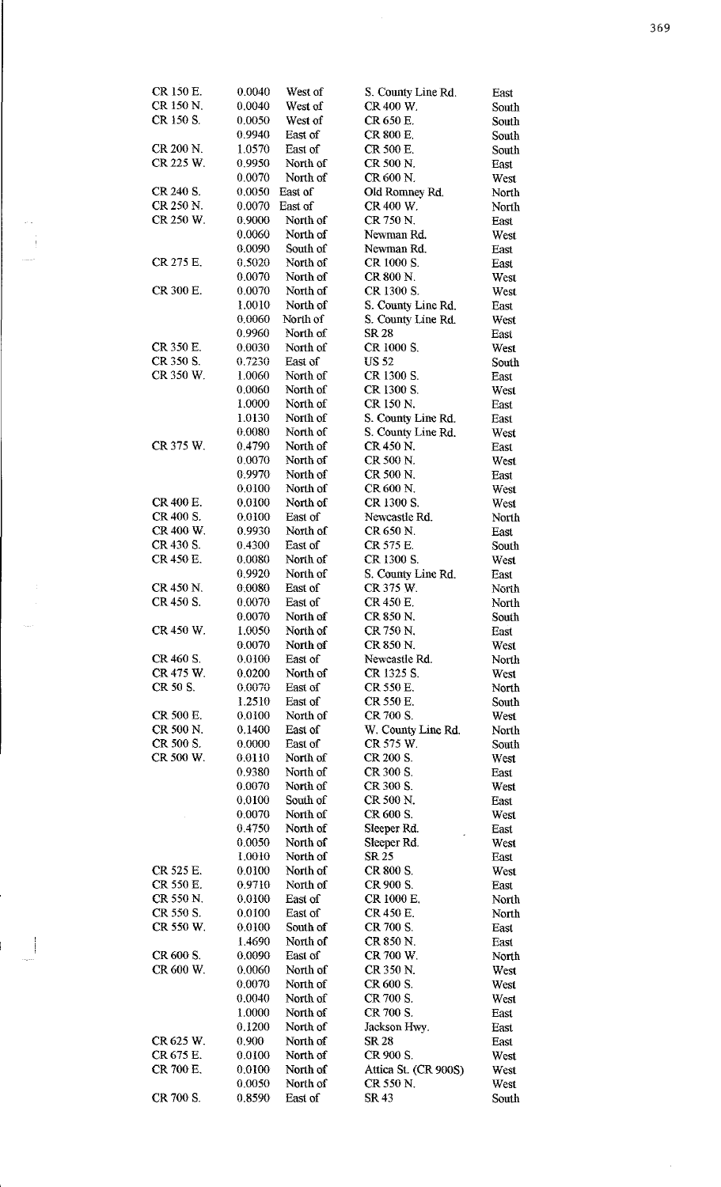| CR 150 E. | 0.0040           | West of             | S. County Line Rd.        | East          |
|-----------|------------------|---------------------|---------------------------|---------------|
| CR 150 N. | 0.0040           | West of             | CR 400 W.                 | South         |
| CR 150 S. | 0.0050           | West of             | CR 650 E.                 | South         |
|           |                  |                     |                           |               |
|           | 0.9940           | East of             | CR 800 E.                 | South         |
| CR 200 N. | 1.0570           | East of             | CR 500 E.                 | South         |
| CR 225 W. | 0.9950           | North of            | CR 500 N.                 | East          |
|           | 0.0070           | North of            | CR 600 N.                 | West          |
| CR 240 S. |                  |                     |                           |               |
|           | 0.0050           | East of             | Old Romney Rd.            | North         |
| CR 250 N. | 0.0070           | East of             | CR 400 W.                 | North         |
| CR 250 W. | 0.9000           | North of            | CR 750 N                  | East          |
|           | 0.0060           | North of            | Newman Rd.                | West          |
|           | 0.0090           | South of            | Newman Rd.                | East          |
|           |                  |                     |                           |               |
| CR 275 E. | 0.5020           | North of            | CR 1000 S.                | East          |
|           | 0.0070           | North of            | CR 800 N.                 | West          |
| CR 300 E. | 0.0070           | North of            | CR 1300 S.                | West          |
|           | 1.0010           | North of            | S. County Line Rd.        | East          |
|           | 0.0060           | North of            | S. County Line Rd.        |               |
|           |                  |                     |                           | West          |
|           | 0.9960           | North of            | SR 28                     | East          |
| CR 350 E. | 0.0030           | North of            | CR 1000 S.                | West          |
| CR 350 S. | 0.7230           | East of             | <b>US 52</b>              | South         |
| CR 350 W. | 1.0060           | North of            | CR 1300 S.                | East          |
|           | 0.0060           | North of            | CR 1300 S.                |               |
|           |                  |                     |                           | West          |
|           | 1.0000           | North of            | <b>CR 150 N</b>           | East          |
|           | 1.0130           | North of            | S. County Line Rd.        | East          |
|           | 0.0080           | North of            | S. County Line Rd.        | West          |
| CR 375 W. | 04790            | North of            | CR 450 N                  | East          |
|           |                  |                     |                           |               |
|           | 0.0070           | North of            | CR 500 N.                 | West          |
|           | 0.9970           | North of            | CR 500 N.                 | East          |
|           | 0.0100           | North of            | CR 600 N.                 | West          |
| CR 400 E. | 0.0100           | North of            | CR 1300 S.                | West          |
| CR 400 S. | 0.0100           | East of             | Newcastle Rd.             |               |
|           |                  |                     |                           | North         |
| CR 400 W. | 0.9930           | North of            | CR 650 N                  | East          |
| CR 430 S. | 0.4300           | East of             | CR 575 E.                 | South         |
| CR 450 E. | 0.0080           | North of            | CR 1300 S.                | West          |
|           | 0.9920           | North of            | S. County Line Rd.        | East          |
| CR 450 N. | 0.0080           | East of             | CR 375 W.                 |               |
|           |                  |                     |                           | North         |
| CR 450 S. | 0.0070           | East of             | CR 450 E.                 | North         |
|           | 0.0070           | North of            | CR 850 N.                 | South         |
| CR 450 W. | 1.0050           | North of            | CR 750 N.                 | East          |
|           | 0.0070           | North of            | CR 850 N.                 | West          |
|           |                  |                     |                           |               |
| CR 460 S. | $0.0100\,$       | East of             | Newcastle Rd.             | North         |
| CR 475 W. | 0.0200           | North of            | CR 1325 S.                | West          |
| CR 50 S.  |                  | East of             | CR 550 E.                 | North         |
|           | 0.0070           |                     |                           |               |
|           |                  |                     |                           |               |
|           | 1.2510           | East of             | CR 550 E.                 | South         |
| CR 500 E. | 0.0100           | North of            | CR 700 S.                 | West          |
| CR 500 N. | 0.1400           | East of             | W. County Line Rd.        | North         |
| CR 500 S. | 0.0000           | East of             | CR 575 W.                 | South         |
| CR 500 W. | 0 0 1 1 0        | North of            | CR 200 S.                 | West          |
|           | 0.9380           |                     | CR 300 S.                 |               |
|           |                  | North of            |                           | East          |
|           | 0.0070           | North of            | CR 300 S.                 | West          |
|           | 0.0100           | South of            | CR 500 N.                 | East          |
|           | 0.0070           | North of            | CR 600 S.                 | West          |
|           | 0.4750           | North of            | Sleeper Rd.               | East          |
|           | 0.0050           | North of            | Sleeper Rd.               | West          |
|           |                  |                     |                           |               |
|           | 1.0010           | North of            | SR 25                     | East          |
| CR 525 E. | 0.0100           | North of            | CR 800 S.                 | West          |
| CR 550 E. | 0.9710           | North of            | CR 900 S.                 | East          |
| CR 550 N. | 0.0100           | East of             | CR 1000 E.                | North         |
| CR 550 S. | 0.0100           | East of             | CR 450 E.                 | North         |
|           |                  |                     |                           |               |
| CR 550 W. | 0.0100           | South of            | CR 700 S.                 | East          |
|           | 1.4690           | North of            | CR 850 N.                 | East          |
| CR 600 S. | 0.0090           | East of             | CR 700 W.                 | North         |
| CR 600 W. | 0.0060           | North of            | CR 350 N                  | West          |
|           |                  |                     | CR 600 S.                 |               |
|           | 0.0070           | North of            |                           | West          |
|           | 0.0040           | North of            | CR 700 S.                 | West          |
|           | 1.0000           | North of            | CR 700 S.                 | East          |
|           | 0.1200           | North of            | Jackson Hwy.              | East          |
| CR 625 W. | 0.900            | North of            | <b>SR 28</b>              | East          |
|           |                  |                     |                           |               |
| CR 675 E. | 0.0100           | North of            | CR 900 S.                 | West          |
| CR 700 E. | 0.0100           | North of            | Attica St. (CR 900S)      | West          |
| CR 700 S. | 0.0050<br>0.8590 | North of<br>East of | CR 550 N.<br><b>SR 43</b> | West<br>South |

 $\frac{1}{2}$ 

i<br>S

 $\sim$   $\pm$ 

 $\label{eq:2} \frac{1}{\sqrt{2}}\int_{0}^{\infty}\frac{1}{\sqrt{2}}\left(\frac{1}{\sqrt{2}}\right)^{2}d\theta.$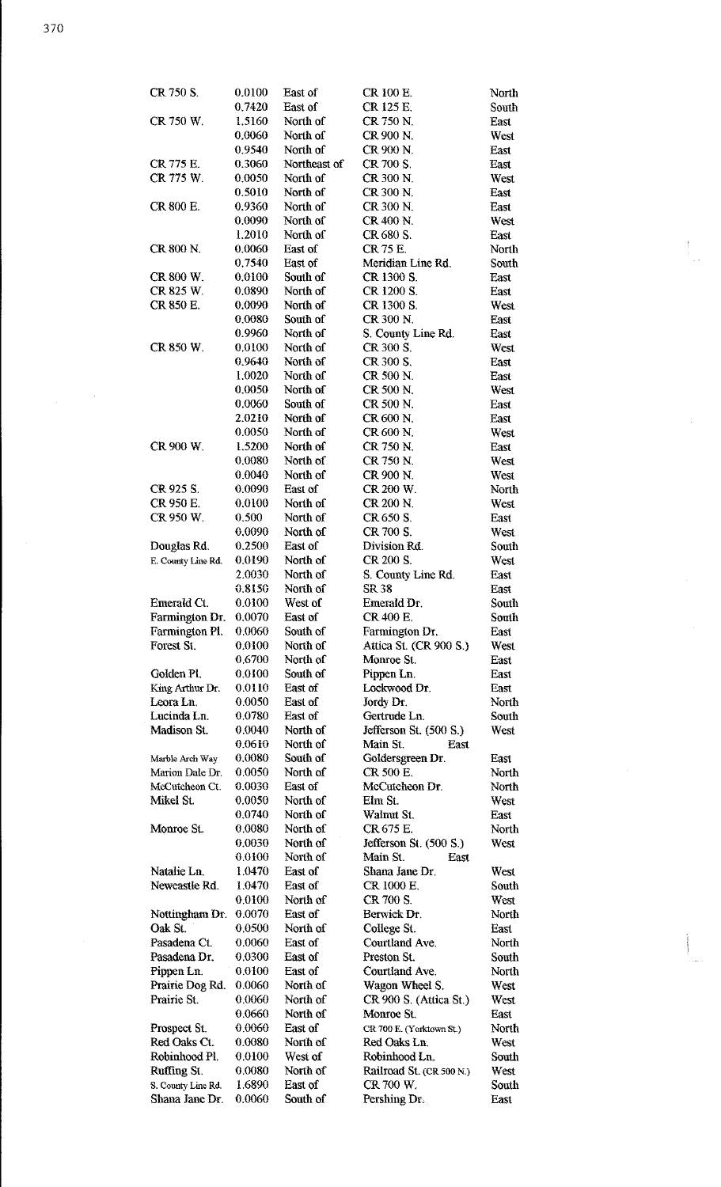| CR 750 S.          | 0.0100 | East of      | CR 100 E.                | North |
|--------------------|--------|--------------|--------------------------|-------|
|                    | 0.7420 | East of      | CR 125 E.                |       |
|                    |        |              |                          | South |
| CR 750 W.          | 1.5160 | North of     | CR 750 N.                | East  |
|                    | 0,0060 | North of     | CR 900 N.                | West  |
|                    | 0.9540 | North of     | CR 900 N.                | East  |
| CR 775 E.          | 0.3060 | Northeast of | CR 700 S.                | East  |
| CR 775 W           | 0.0050 | North of     | CR 300 N                 | West  |
|                    | 0.5010 | North of     | CR 300 N.                | East  |
| CR 800 E.          | 0.9360 | North of     | CR 300 N.                | East  |
|                    | 0.0090 | North of     | CR 400 N.                | West  |
|                    | 1.2010 | North of     | CR 680 S.                | East  |
|                    |        |              |                          |       |
| CR 800 N.          | 0.0060 | East of      | CR 75 E.                 | North |
|                    | 0.7540 | East of      | Meridian Line Rd.        | South |
| CR 800 W.          | 0.0100 | South of     | CR 1300 S.               | East  |
| CR 825 W.          | 0.0890 | North of     | CR 1200 S.               | East  |
| CR 850 E.          | 0.0090 | North of     | CR 1300 S.               | West  |
|                    | 0.0080 | South of     | CR 300 N.                | East  |
|                    | 0.9960 | North of     | S. County Line Rd.       | East  |
| CR 850 W.          | 0.0100 | North of     | CR 300 S.                | West  |
|                    | 0.9640 | North of     | CR 300 S.                | East  |
|                    | 1.0020 | North of     | CR 500 N.                | East  |
|                    | 0.0050 | North of     | CR 500 N.                | West  |
|                    | 0.0060 | South of     | CR 500 N.                | East  |
|                    | 2.0210 | North of     | CR 600 N.                |       |
|                    |        |              |                          | East  |
|                    | 0.0050 | North of     | CR 600 N.                | West  |
| CR 900 W.          | 1.5200 | North of     | CR 750 N                 | East  |
|                    | 0.0080 | North of     | CR 750 N.                | West  |
|                    | 0.0040 | North of     | CR 900 N.                | West  |
| CR 925 S.          | 0.0090 | East of      | CR 200 W.                | North |
| CR 950 E.          | 0.0100 | North of     | CR 200 N.                | West  |
| CR 950 W.          | 0.500  | North of     | CR 650 S.                | East  |
|                    | 0.0090 | North of     | CR 700 S.                | West  |
| Douglas Rd.        | 0.2500 | East of      | Division Rd.             | South |
| E. County Line Rd. | 0.0190 | North of     | CR 200 S.                | West  |
|                    | 2.0030 | North of     | S. County Line Rd.       | East  |
|                    | 0.8150 | North of     | SR 38                    | East  |
| Emerald Ct.        | 0.0100 | West of      | Emerald Dr.              | South |
| Farmington Dr.     | 0.0070 | East of      | CR 400 E.                | South |
| Farmington Pl.     | 0.0060 | South of     | Farmington Dr.           | East  |
| Forest St.         | 0.0100 | North of     | Attica St. (CR 900 S.)   | West  |
|                    |        |              |                          |       |
|                    | 0.6700 | North of     | Monroe St.               | East  |
| Golden Pl.         | 0.0100 | South of     | Pippen Ln.               | East  |
| King Arthur Dr.    | 0.0110 | East of      | Lockwood Dr.             | East  |
| Leora Ln.          | 0.0050 | East of      | Jordy Dr.                | North |
| Lucinda Ln.        | 0.0780 | East of      | Gertrude Ln.             | South |
| Madison St.        | 0.0040 | North of     | Jefferson St. (500 S.)   | West  |
|                    | 0.0610 | North of     | Main St.<br>East         |       |
| Marble Arch Way    | 0.0080 | South of     | Goldersgreen Dr.         | East  |
| Marion Dale Dr.    | 0.0050 | North of     | CR 500 E.                | North |
| McCutcheon Ct.     | 0.0030 | East of      | McCutcheon Dr.           | North |
| Mikel St.          | 0.0050 | North of     | Elm St.                  | West  |
|                    | 0.0740 | North of     | Walmit St.               | East  |
| Monroe St.         | 0.0080 | North of     | CR 675 E.                | North |
|                    | 0.0030 | North of     | Jefferson St. (500 S.)   | West  |
|                    | 0.0100 | North of     | Main St.<br>East         |       |
|                    |        |              |                          |       |
| Natalie Ln.        | 1.0470 | East of      | Shana Jane Dr.           | West  |
| Newcastle Rd.      | 1.0470 | East of      | CR 1000 E.               | South |
|                    | 0.0100 | North of     | CR 700 S.                | West  |
| Nottingham Dr.     | 0.0070 | East of      | Berwick Dr.              | North |
| Oak St.            | 0.0500 | North of     | College St.              | East  |
| Pasadena Ct.       | 0.0060 | East of      | Courtland Ave.           | North |
| Pasadena Dr.       | 0.0300 | East of      | Preston St.              | South |
| Pippen Ln.         | 0.0100 | East of      | Courtland Ave.           | North |
| Prairie Dog Rd.    | 0.0060 | North of     | Wagon Wheel S.           | West  |
| Prairie St.        | 0.0060 | North of     | CR 900 S. (Attica St.)   | West  |
|                    | 0.0660 | North of     | Monroe St.               | East  |
| Prospect St.       | 0.0060 | East of      | CR 700 E. (Yorktown St.) | North |
| Red Oaks Ct.       | 0.0080 | North of     | Red Oaks Ln.             | West  |
| Robinhood Pl.      | 0.0100 | West of      | Robinhood Ln.            | South |
| Ruffing St.        | 0.0080 | North of     | Railroad St. (CR 500 N.) | West  |
|                    |        | East of      | CR 700 W.                |       |
| S. County Line Rd. | 1.6890 |              |                          | South |
| Shana Jane Dr.     | 0.0060 | South of     | Pershing Dr.             | East  |

 $\overline{\phantom{a}}$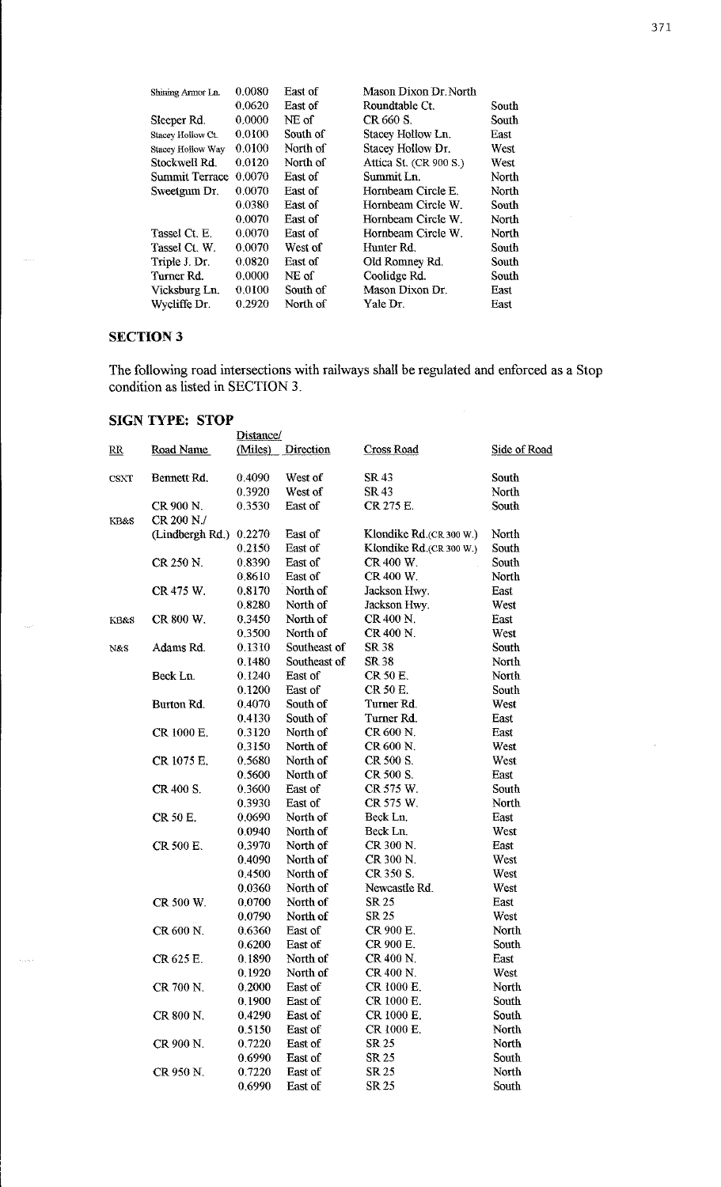| 0.0080 | East of          | Mason Dixon Dr. North  |       |
|--------|------------------|------------------------|-------|
| 0.0620 | East of          | Roundtable Ct.         | South |
| 0.0000 | NE <sub>of</sub> | CR 660 S.              | South |
| 0.0100 | South of         | Stacey Hollow Ln.      | East  |
| 0.0100 | North of         | Stacey Hollow Dr.      | West  |
| 0.0120 | North of         | Attica St. (CR 900 S.) | West  |
| 0.0070 | East of          | Summit Ln.             | North |
| 0.0070 | East of          | Hornbeam Circle E.     | North |
| 0.0380 | East of          | Hornbeam Circle W.     | South |
| 0.0070 | East of          | Hornbeam Circle W.     | North |
| 0.0070 | East of          | Hornbeam Circle W.     | North |
| 0.0070 | West of          | Hunter Rd.             | South |
| 0.0820 | East of          | Old Romney Rd.         | South |
| 0.0000 | NE of            | Coolidge Rd.           | South |
| 0.0100 | South of         | Mason Dixon Dr.        | East  |
| 0.2920 | North of         | Yale Dr.               | East  |
|        |                  |                        |       |

# **SECTION3**

i<br>Sant

 $\hat{\phi}$ 

The following road intersections with railways shall be regulated and enforced as a Stop condition as listed in SECTION 3.

## **SIGN TYPE: STOP**

|                        |                        | Distance/ |                  |                         |              |
|------------------------|------------------------|-----------|------------------|-------------------------|--------------|
| $\overline{\text{RR}}$ | Road Name              | (Miles)   | <b>Direction</b> | <b>Cross Road</b>       | Side of Road |
| <b>CSXT</b>            | Bennett Rd.            | 0.4090    | West of          | <b>SR 43</b>            | South        |
|                        |                        | 0.3920    | West of          | <b>SR 43</b>            | North        |
|                        | CR 900 N.              | 0.3530    | East of          | CR 275 E.               | South        |
| KB&S                   | CR 200 N./             |           |                  |                         |              |
|                        | (Lindbergh Rd.) 0.2270 |           | East of          | Klondike Rd.(CR 300 W.) | North        |
|                        |                        | 0.2150    | East of          | Klondike Rd.(CR 300 W.) | South        |
|                        | CR 250 N.              | 0.8390    | East of          | CR 400 W.               | South        |
|                        |                        | 0.8610    | East of          | CR 400 W.               | North        |
|                        | CR 475 W.              | 0.8170    | North of         | Jackson Hwy.            | East         |
|                        |                        | 0.8280    | North of         | Jackson Hwy.            | West         |
| KB8:S                  | CR 800 W.              | 0.3450    | North of         | CR 400 N                | East         |
|                        |                        | 0.3500    | North of         | CR 400 N.               | West         |
| N&S                    | Adams Rd.              | 0.1310    | Southeast of     | SR 38                   | South        |
|                        |                        | 0.1480    | Southeast of     | SR 38                   | North        |
|                        | Beck Ln.               | 0.1240    | East of          | CR 50 E.                | North        |
|                        |                        | 0.1200    | East of          | CR 50 E.                | South        |
|                        | Burton Rd.             | 0.4070    | South of         | Turner Rd.              | West         |
|                        |                        | 0.4130    | South of         | Turner Rd.              | East         |
|                        | CR 1000 E.             | 0.3120    | North of         | CR 600 N.               | East         |
|                        |                        | 0.3150    | North of         | CR 600 N                | West         |
|                        | CR 1075 E.             | 0.5680    | North of         | CR 500 S.               | West         |
|                        |                        | 0.5600    | North of         | CR 500 S.               | East         |
|                        | CR 400 S.              | 0.3600    | East of          | CR 575 W.               | South        |
|                        |                        | 0.3930    | East of          | CR 575 W.               | North        |
|                        | CR 50 E.               | 0.0690    | North of         | Beck Ln.                | East         |
|                        |                        | 0.0940    | North of         | Beck Ln.                | West         |
|                        | CR 500 E.              | 0.3970    | North of         | CR 300 N.               | East         |
|                        |                        | 0.4090    | North of         | CR 300 N.               | West         |
|                        |                        | 0.4500    | North of         | CR 350 S.               | West         |
|                        |                        | 0.0360    | North of         | Newcastle Rd.           | West         |
|                        | CR 500 W.              | 0.0700    | North of         | SR 25                   | East         |
|                        |                        | 0.0790    | North of         | SR 25                   | West         |
|                        | CR 600 N.              | 0.6360    | East of          | CR 900 E.               | North        |
|                        |                        | 0.6200    | East of          | CR 900 E.               | South        |
|                        | CR 625 E.              | 0.1890    | North of         | CR 400 N.               | East         |
|                        |                        | 0.1920    | North of         | CR 400 N.               | West         |
|                        | CR 700 N.              | 0.2000    | East of          | CR 1000 E.              | North        |
|                        |                        | 0.1900    | East of          | CR 1000 E.              | South        |
|                        | CR 800 N.              | 0.4290    | East of          | CR 1000 E.              | South        |
|                        |                        | 0.5150    | East of          | CR 1000 E.              | North        |
|                        | CR 900 N.              | 0.7220    | East of          | SR 25                   | North        |
|                        |                        | 0.6990    | East of          | SR 25                   | South        |
|                        | CR 950 N.              | 0.7220    | East of          | SR 25                   | North        |
|                        |                        | 0.6990    | East of          | SR 25                   | South        |

 $\mathcal{A}_{\mathcal{A}}$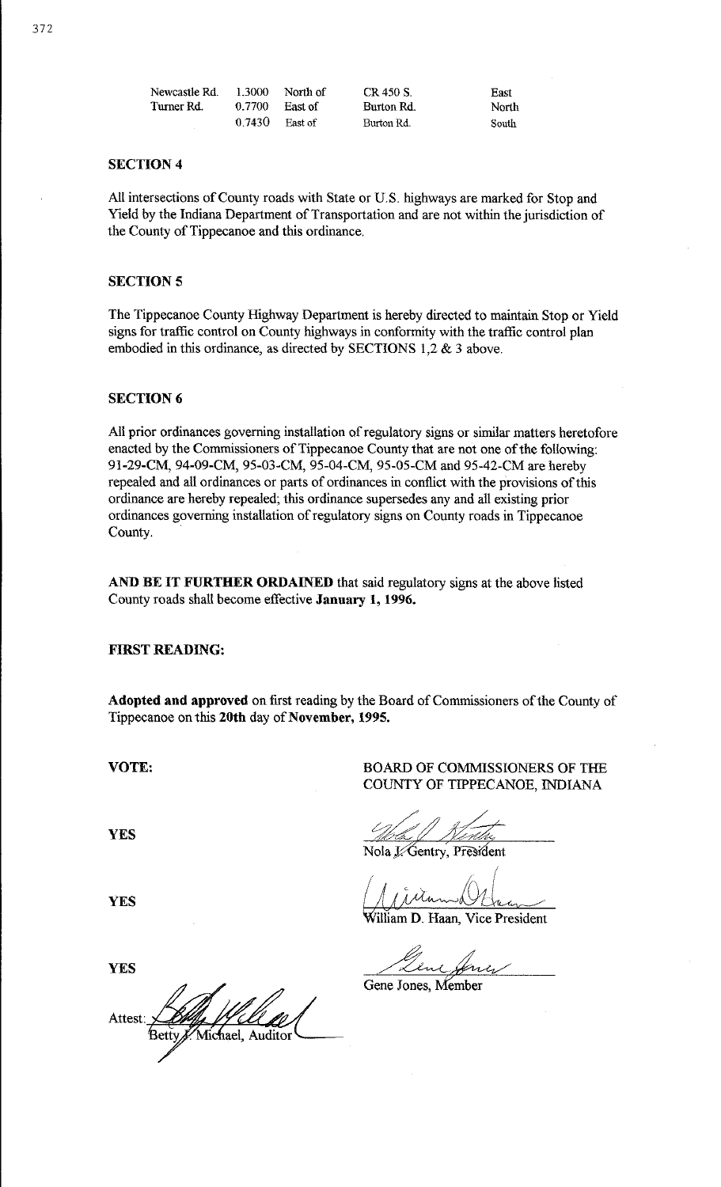| Newcastle Rd. | 1.3000 | North of | CR 450 S   |
|---------------|--------|----------|------------|
| Turner Rd.    | 0.7700 | East of  | Burton Rd. |
|               | 0.7430 | East of  | Burton Rd. |

#### **SECTION4**

All intersections of County roads with State or U.S. highways are marked for Stop and Yield by the Indiana Department of Transportation and are not within the jurisdiction of the County of Tippecanoe and this ordinance.

### **SECTION 5**

The Tippecanoe County Highway Department is hereby directed to maintain Stop or Yield signs for traffic control on County highways in confonnity with the traffic control plan embodied in this ordinance, as directed by SECTIONS 1,2 & 3 above.

### **SECTION 6**

All prior ordinances governing installation of regulatory signs or similar matters heretofore enacted by the Commissioners of Tippecanoe County that are not one of the following: 91-29-CM, 94-09-CM, 95-03-CM, 95-04-CM, 95-05-CM and 95-42-CM are hereby repealed and all ordinances or parts of ordinances in conflict with the provisions of this ordinance are hereby repealed; this ordinance supersedes any and all existing prior ordinances governing installation of regulatory signs on County roads in Tippecanoe County.

**AND BE IT FURTHER ORDAINED** that said regulatory signs at the above listed County roads shall become effective **Jannary 1, 1996.** 

### **FIRST READING:**

**Adopted and approved** on first reading by the Board of Commissioners of the County of Tippecanoe on this **20th** day of **November, 1995.** 

**VOTE:** 

**YES** 

**YES** 

BOARD OF COMMISSIONERS OF THE COUNTY OF TIPPECANOE, INDIANA

East North South

Nola L'Gentry, President

 $M^*$  Jenny, resnem

illiam **D.** Haan, Vice President

Gene Jones, Member

**YES**  Attest: Michael, Auditor Bett